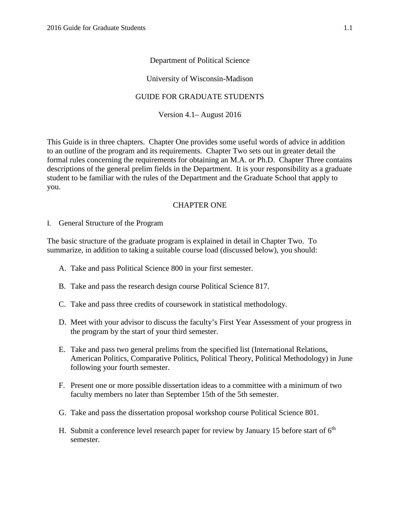## Department of Political Science

#### University of Wisconsin-Madison

## GUIDE FOR GRADUATE STUDENTS

Version 4.1– August 2016

This Guide is in three chapters. Chapter One provides some useful words of advice in addition to an outline of the program and its requirements. Chapter Two sets out in greater detail the formal rules concerning the requirements for obtaining an M.A. or Ph.D. Chapter Three contains descriptions of the general prelim fields in the Department. It is your responsibility as a graduate student to be familiar with the rules of the Department and the Graduate School that apply to you.

## CHAPTER ONE

I. General Structure of the Program

The basic structure of the graduate program is explained in detail in Chapter Two. To summarize, in addition to taking a suitable course load (discussed below), you should:

- A. Take and pass Political Science 800 in your first semester.
- B. Take and pass the research design course Political Science 817.
- C. Take and pass three credits of coursework in statistical methodology.
- D. Meet with your advisor to discuss the faculty's First Year Assessment of your progress in the program by the start of your third semester.
- E. Take and pass two general prelims from the specified list (International Relations, American Politics, Comparative Politics, Political Theory, Political Methodology) in June following your fourth semester.
- F. Present one or more possible dissertation ideas to a committee with a minimum of two faculty members no later than September 15th of the 5th semester.
- G. Take and pass the dissertation proposal workshop course Political Science 801.
- H. Submit a conference level research paper for review by January 15 before start of  $6<sup>th</sup>$ semester.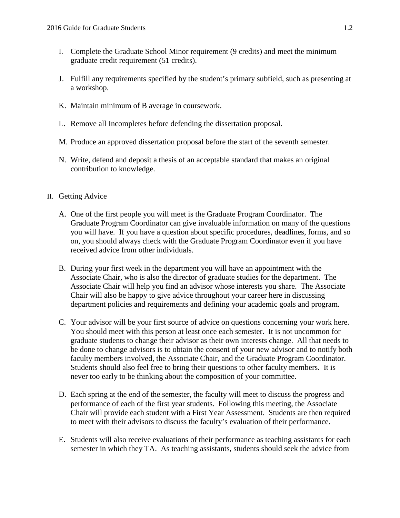- I. Complete the Graduate School Minor requirement (9 credits) and meet the minimum graduate credit requirement (51 credits).
- J. Fulfill any requirements specified by the student's primary subfield, such as presenting at a workshop.
- K. Maintain minimum of B average in coursework.
- L. Remove all Incompletes before defending the dissertation proposal.
- M. Produce an approved dissertation proposal before the start of the seventh semester.
- N. Write, defend and deposit a thesis of an acceptable standard that makes an original contribution to knowledge.

# II. Getting Advice

- A. One of the first people you will meet is the Graduate Program Coordinator. The Graduate Program Coordinator can give invaluable information on many of the questions you will have. If you have a question about specific procedures, deadlines, forms, and so on, you should always check with the Graduate Program Coordinator even if you have received advice from other individuals.
- B. During your first week in the department you will have an appointment with the Associate Chair, who is also the director of graduate studies for the department. The Associate Chair will help you find an advisor whose interests you share. The Associate Chair will also be happy to give advice throughout your career here in discussing department policies and requirements and defining your academic goals and program.
- C. Your advisor will be your first source of advice on questions concerning your work here. You should meet with this person at least once each semester. It is not uncommon for graduate students to change their advisor as their own interests change. All that needs to be done to change advisors is to obtain the consent of your new advisor and to notify both faculty members involved, the Associate Chair, and the Graduate Program Coordinator. Students should also feel free to bring their questions to other faculty members. It is never too early to be thinking about the composition of your committee.
- D. Each spring at the end of the semester, the faculty will meet to discuss the progress and performance of each of the first year students. Following this meeting, the Associate Chair will provide each student with a First Year Assessment. Students are then required to meet with their advisors to discuss the faculty's evaluation of their performance.
- E. Students will also receive evaluations of their performance as teaching assistants for each semester in which they TA. As teaching assistants, students should seek the advice from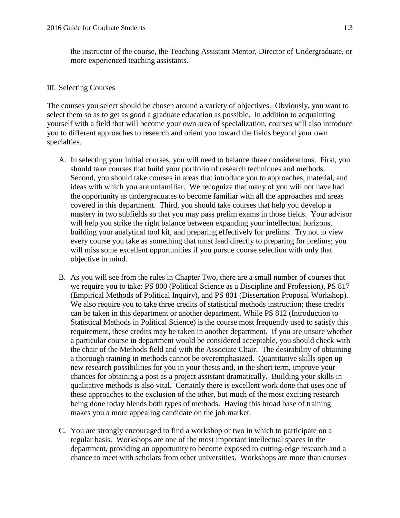the instructor of the course, the Teaching Assistant Mentor, Director of Undergraduate, or more experienced teaching assistants.

#### III. Selecting Courses

The courses you select should be chosen around a variety of objectives. Obviously, you want to select them so as to get as good a graduate education as possible. In addition to acquainting yourself with a field that will become your own area of specialization, courses will also introduce you to different approaches to research and orient you toward the fields beyond your own specialties.

- A. In selecting your initial courses, you will need to balance three considerations. First, you should take courses that build your portfolio of research techniques and methods. Second, you should take courses in areas that introduce you to approaches, material, and ideas with which you are unfamiliar. We recognize that many of you will not have had the opportunity as undergraduates to become familiar with all the approaches and areas covered in this department. Third, you should take courses that help you develop a mastery in two subfields so that you may pass prelim exams in those fields. Your advisor will help you strike the right balance between expanding your intellectual horizons, building your analytical tool kit, and preparing effectively for prelims. Try not to view every course you take as something that must lead directly to preparing for prelims; you will miss some excellent opportunities if you pursue course selection with only that objective in mind.
- B. As you will see from the rules in Chapter Two, there are a small number of courses that we require you to take: PS 800 (Political Science as a Discipline and Profession), PS 817 (Empirical Methods of Political Inquiry), and PS 801 (Dissertation Proposal Workshop). We also require you to take three credits of statistical methods instruction; these credits can be taken in this department or another department. While PS 812 (Introduction to Statistical Methods in Political Science) is the course most frequently used to satisfy this requirement, these credits may be taken in another department. If you are unsure whether a particular course in department would be considered acceptable, you should check with the chair of the Methods field and with the Associate Chair. The desirability of obtaining a thorough training in methods cannot be overemphasized. Quantitative skills open up new research possibilities for you in your thesis and, in the short term, improve your chances for obtaining a post as a project assistant dramatically. Building your skills in qualitative methods is also vital. Certainly there is excellent work done that uses one of these approaches to the exclusion of the other, but much of the most exciting research being done today blends both types of methods. Having this broad base of training makes you a more appealing candidate on the job market.
- C. You are strongly encouraged to find a workshop or two in which to participate on a regular basis. Workshops are one of the most important intellectual spaces in the department, providing an opportunity to become exposed to cutting-edge research and a chance to meet with scholars from other universities. Workshops are more than courses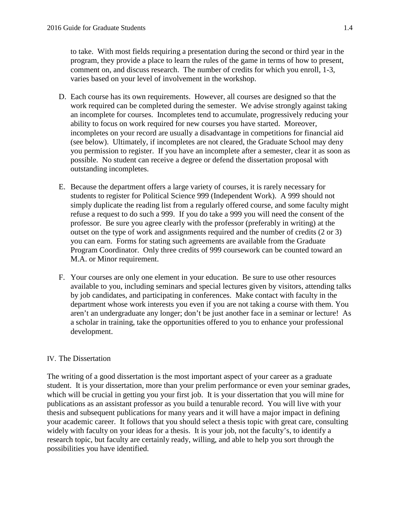to take. With most fields requiring a presentation during the second or third year in the program, they provide a place to learn the rules of the game in terms of how to present, comment on, and discuss research. The number of credits for which you enroll, 1-3, varies based on your level of involvement in the workshop.

- D. Each course has its own requirements. However, all courses are designed so that the work required can be completed during the semester. We advise strongly against taking an incomplete for courses. Incompletes tend to accumulate, progressively reducing your ability to focus on work required for new courses you have started. Moreover, incompletes on your record are usually a disadvantage in competitions for financial aid (see below). Ultimately, if incompletes are not cleared, the Graduate School may deny you permission to register. If you have an incomplete after a semester, clear it as soon as possible. No student can receive a degree or defend the dissertation proposal with outstanding incompletes.
- E. Because the department offers a large variety of courses, it is rarely necessary for students to register for Political Science 999 (Independent Work). A 999 should not simply duplicate the reading list from a regularly offered course, and some faculty might refuse a request to do such a 999. If you do take a 999 you will need the consent of the professor. Be sure you agree clearly with the professor (preferably in writing) at the outset on the type of work and assignments required and the number of credits (2 or 3) you can earn. Forms for stating such agreements are available from the Graduate Program Coordinator. Only three credits of 999 coursework can be counted toward an M.A. or Minor requirement.
- F. Your courses are only one element in your education. Be sure to use other resources available to you, including seminars and special lectures given by visitors, attending talks by job candidates, and participating in conferences. Make contact with faculty in the department whose work interests you even if you are not taking a course with them. You aren't an undergraduate any longer; don't be just another face in a seminar or lecture! As a scholar in training, take the opportunities offered to you to enhance your professional development.

#### IV. The Dissertation

The writing of a good dissertation is the most important aspect of your career as a graduate student. It is your dissertation, more than your prelim performance or even your seminar grades, which will be crucial in getting you your first job. It is your dissertation that you will mine for publications as an assistant professor as you build a tenurable record. You will live with your thesis and subsequent publications for many years and it will have a major impact in defining your academic career. It follows that you should select a thesis topic with great care, consulting widely with faculty on your ideas for a thesis. It is your job, not the faculty's, to identify a research topic, but faculty are certainly ready, willing, and able to help you sort through the possibilities you have identified.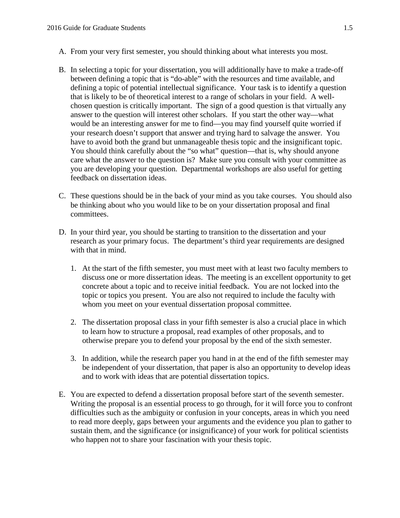- A. From your very first semester, you should thinking about what interests you most.
- B. In selecting a topic for your dissertation, you will additionally have to make a trade-off between defining a topic that is "do-able" with the resources and time available, and defining a topic of potential intellectual significance. Your task is to identify a question that is likely to be of theoretical interest to a range of scholars in your field. A wellchosen question is critically important. The sign of a good question is that virtually any answer to the question will interest other scholars. If you start the other way—what would be an interesting answer for me to find—you may find yourself quite worried if your research doesn't support that answer and trying hard to salvage the answer. You have to avoid both the grand but unmanageable thesis topic and the insignificant topic. You should think carefully about the "so what" question—that is, why should anyone care what the answer to the question is? Make sure you consult with your committee as you are developing your question. Departmental workshops are also useful for getting feedback on dissertation ideas.
- C. These questions should be in the back of your mind as you take courses. You should also be thinking about who you would like to be on your dissertation proposal and final committees.
- D. In your third year, you should be starting to transition to the dissertation and your research as your primary focus. The department's third year requirements are designed with that in mind.
	- 1. At the start of the fifth semester, you must meet with at least two faculty members to discuss one or more dissertation ideas. The meeting is an excellent opportunity to get concrete about a topic and to receive initial feedback. You are not locked into the topic or topics you present. You are also not required to include the faculty with whom you meet on your eventual dissertation proposal committee.
	- 2. The dissertation proposal class in your fifth semester is also a crucial place in which to learn how to structure a proposal, read examples of other proposals, and to otherwise prepare you to defend your proposal by the end of the sixth semester.
	- 3. In addition, while the research paper you hand in at the end of the fifth semester may be independent of your dissertation, that paper is also an opportunity to develop ideas and to work with ideas that are potential dissertation topics.
- E. You are expected to defend a dissertation proposal before start of the seventh semester. Writing the proposal is an essential process to go through, for it will force you to confront difficulties such as the ambiguity or confusion in your concepts, areas in which you need to read more deeply, gaps between your arguments and the evidence you plan to gather to sustain them, and the significance (or insignificance) of your work for political scientists who happen not to share your fascination with your thesis topic.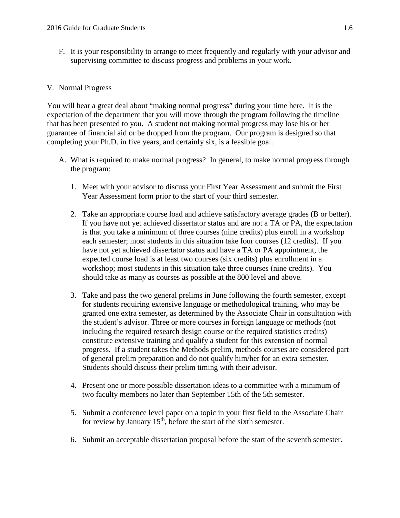F. It is your responsibility to arrange to meet frequently and regularly with your advisor and supervising committee to discuss progress and problems in your work.

## V. Normal Progress

You will hear a great deal about "making normal progress" during your time here. It is the expectation of the department that you will move through the program following the timeline that has been presented to you. A student not making normal progress may lose his or her guarantee of financial aid or be dropped from the program. Our program is designed so that completing your Ph.D. in five years, and certainly six, is a feasible goal.

- A. What is required to make normal progress? In general, to make normal progress through the program:
	- 1. Meet with your advisor to discuss your First Year Assessment and submit the First Year Assessment form prior to the start of your third semester.
	- 2. Take an appropriate course load and achieve satisfactory average grades (B or better). If you have not yet achieved dissertator status and are not a TA or PA, the expectation is that you take a minimum of three courses (nine credits) plus enroll in a workshop each semester; most students in this situation take four courses (12 credits). If you have not yet achieved dissertator status and have a TA or PA appointment, the expected course load is at least two courses (six credits) plus enrollment in a workshop; most students in this situation take three courses (nine credits). You should take as many as courses as possible at the 800 level and above.
	- 3. Take and pass the two general prelims in June following the fourth semester, except for students requiring extensive language or methodological training, who may be granted one extra semester, as determined by the Associate Chair in consultation with the student's advisor. Three or more courses in foreign language or methods (not including the required research design course or the required statistics credits) constitute extensive training and qualify a student for this extension of normal progress. If a student takes the Methods prelim, methods courses are considered part of general prelim preparation and do not qualify him/her for an extra semester. Students should discuss their prelim timing with their advisor.
	- 4. Present one or more possible dissertation ideas to a committee with a minimum of two faculty members no later than September 15th of the 5th semester.
	- 5. Submit a conference level paper on a topic in your first field to the Associate Chair for review by January  $15<sup>th</sup>$ , before the start of the sixth semester.
	- 6. Submit an acceptable dissertation proposal before the start of the seventh semester.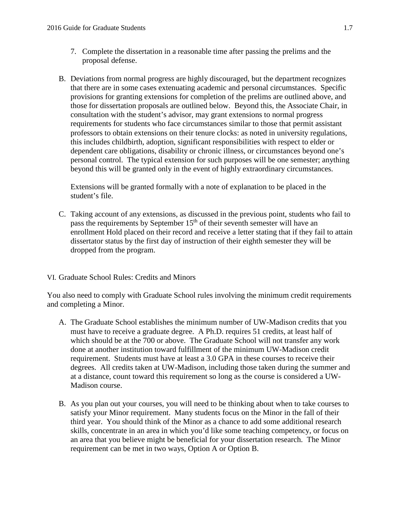- 7. Complete the dissertation in a reasonable time after passing the prelims and the proposal defense.
- B. Deviations from normal progress are highly discouraged, but the department recognizes that there are in some cases extenuating academic and personal circumstances. Specific provisions for granting extensions for completion of the prelims are outlined above, and those for dissertation proposals are outlined below. Beyond this, the Associate Chair, in consultation with the student's advisor, may grant extensions to normal progress requirements for students who face circumstances similar to those that permit assistant professors to obtain extensions on their tenure clocks: as noted in university regulations, this includes childbirth, adoption, significant responsibilities with respect to elder or dependent care obligations, disability or chronic illness, or circumstances beyond one's personal control. The typical extension for such purposes will be one semester; anything beyond this will be granted only in the event of highly extraordinary circumstances.

Extensions will be granted formally with a note of explanation to be placed in the student's file.

- C. Taking account of any extensions, as discussed in the previous point, students who fail to pass the requirements by September  $15<sup>th</sup>$  of their seventh semester will have an enrollment Hold placed on their record and receive a letter stating that if they fail to attain dissertator status by the first day of instruction of their eighth semester they will be dropped from the program.
- VI. Graduate School Rules: Credits and Minors

You also need to comply with Graduate School rules involving the minimum credit requirements and completing a Minor.

- A. The Graduate School establishes the minimum number of UW-Madison credits that you must have to receive a graduate degree. A Ph.D. requires 51 credits, at least half of which should be at the 700 or above. The Graduate School will not transfer any work done at another institution toward fulfillment of the minimum UW-Madison credit requirement. Students must have at least a 3.0 GPA in these courses to receive their degrees. All credits taken at UW-Madison, including those taken during the summer and at a distance, count toward this requirement so long as the course is considered a UW-Madison course.
- B. As you plan out your courses, you will need to be thinking about when to take courses to satisfy your Minor requirement. Many students focus on the Minor in the fall of their third year. You should think of the Minor as a chance to add some additional research skills, concentrate in an area in which you'd like some teaching competency, or focus on an area that you believe might be beneficial for your dissertation research. The Minor requirement can be met in two ways, Option A or Option B.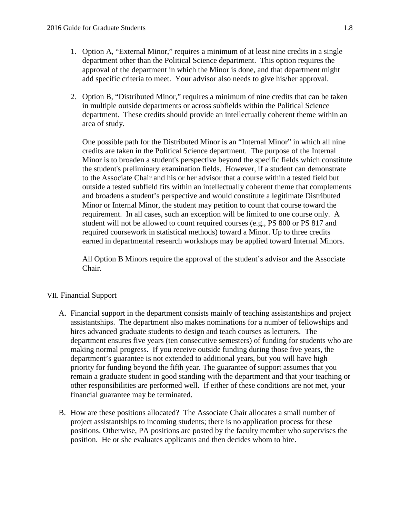- 1. Option A, "External Minor," requires a minimum of at least nine credits in a single department other than the Political Science department. This option requires the approval of the department in which the Minor is done, and that department might add specific criteria to meet. Your advisor also needs to give his/her approval.
- 2. Option B, "Distributed Minor," requires a minimum of nine credits that can be taken in multiple outside departments or across subfields within the Political Science department. These credits should provide an intellectually coherent theme within an area of study.

One possible path for the Distributed Minor is an "Internal Minor" in which all nine credits are taken in the Political Science department. The purpose of the Internal Minor is to broaden a student's perspective beyond the specific fields which constitute the student's preliminary examination fields. However, if a student can demonstrate to the Associate Chair and his or her advisor that a course within a tested field but outside a tested subfield fits within an intellectually coherent theme that complements and broadens a student's perspective and would constitute a legitimate Distributed Minor or Internal Minor, the student may petition to count that course toward the requirement. In all cases, such an exception will be limited to one course only. A student will not be allowed to count required courses (e.g., PS 800 or PS 817 and required coursework in statistical methods) toward a Minor. Up to three credits earned in departmental research workshops may be applied toward Internal Minors.

All Option B Minors require the approval of the student's advisor and the Associate Chair.

#### VII. Financial Support

- A. Financial support in the department consists mainly of teaching assistantships and project assistantships. The department also makes nominations for a number of fellowships and hires advanced graduate students to design and teach courses as lecturers. The department ensures five years (ten consecutive semesters) of funding for students who are making normal progress. If you receive outside funding during those five years, the department's guarantee is not extended to additional years, but you will have high priority for funding beyond the fifth year. The guarantee of support assumes that you remain a graduate student in good standing with the department and that your teaching or other responsibilities are performed well. If either of these conditions are not met, your financial guarantee may be terminated.
- B. How are these positions allocated? The Associate Chair allocates a small number of project assistantships to incoming students; there is no application process for these positions. Otherwise, PA positions are posted by the faculty member who supervises the position. He or she evaluates applicants and then decides whom to hire.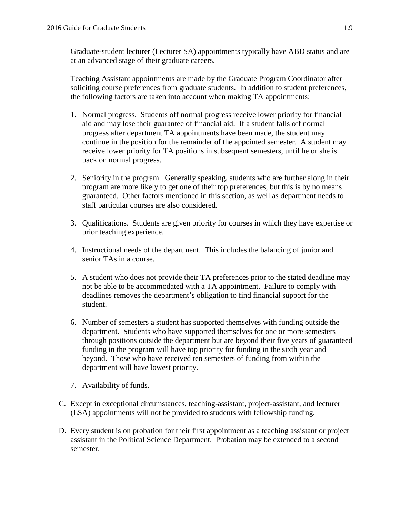Graduate-student lecturer (Lecturer SA) appointments typically have ABD status and are at an advanced stage of their graduate careers.

Teaching Assistant appointments are made by the Graduate Program Coordinator after soliciting course preferences from graduate students. In addition to student preferences, the following factors are taken into account when making TA appointments:

- 1. Normal progress. Students off normal progress receive lower priority for financial aid and may lose their guarantee of financial aid. If a student falls off normal progress after department TA appointments have been made, the student may continue in the position for the remainder of the appointed semester. A student may receive lower priority for TA positions in subsequent semesters, until he or she is back on normal progress.
- 2. Seniority in the program. Generally speaking, students who are further along in their program are more likely to get one of their top preferences, but this is by no means guaranteed. Other factors mentioned in this section, as well as department needs to staff particular courses are also considered.
- 3. Qualifications. Students are given priority for courses in which they have expertise or prior teaching experience.
- 4. Instructional needs of the department. This includes the balancing of junior and senior TAs in a course.
- 5. A student who does not provide their TA preferences prior to the stated deadline may not be able to be accommodated with a TA appointment. Failure to comply with deadlines removes the department's obligation to find financial support for the student.
- 6. Number of semesters a student has supported themselves with funding outside the department. Students who have supported themselves for one or more semesters through positions outside the department but are beyond their five years of guaranteed funding in the program will have top priority for funding in the sixth year and beyond. Those who have received ten semesters of funding from within the department will have lowest priority.
- 7. Availability of funds.
- C. Except in exceptional circumstances, teaching-assistant, project-assistant, and lecturer (LSA) appointments will not be provided to students with fellowship funding.
- D. Every student is on probation for their first appointment as a teaching assistant or project assistant in the Political Science Department. Probation may be extended to a second semester.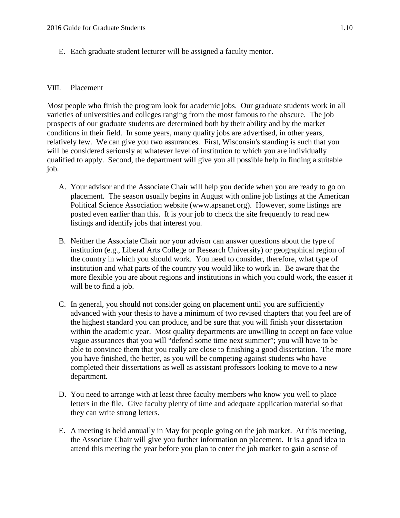E. Each graduate student lecturer will be assigned a faculty mentor.

#### VIII. Placement

Most people who finish the program look for academic jobs. Our graduate students work in all varieties of universities and colleges ranging from the most famous to the obscure. The job prospects of our graduate students are determined both by their ability and by the market conditions in their field. In some years, many quality jobs are advertised, in other years, relatively few. We can give you two assurances. First, Wisconsin's standing is such that you will be considered seriously at whatever level of institution to which you are individually qualified to apply. Second, the department will give you all possible help in finding a suitable job.

- A. Your advisor and the Associate Chair will help you decide when you are ready to go on placement. The season usually begins in August with online job listings at the American Political Science Association website (www.apsanet.org). However, some listings are posted even earlier than this. It is your job to check the site frequently to read new listings and identify jobs that interest you.
- B. Neither the Associate Chair nor your advisor can answer questions about the type of institution (e.g., Liberal Arts College or Research University) or geographical region of the country in which you should work. You need to consider, therefore, what type of institution and what parts of the country you would like to work in. Be aware that the more flexible you are about regions and institutions in which you could work, the easier it will be to find a job.
- C. In general, you should not consider going on placement until you are sufficiently advanced with your thesis to have a minimum of two revised chapters that you feel are of the highest standard you can produce, and be sure that you will finish your dissertation within the academic year. Most quality departments are unwilling to accept on face value vague assurances that you will "defend some time next summer"; you will have to be able to convince them that you really are close to finishing a good dissertation. The more you have finished, the better, as you will be competing against students who have completed their dissertations as well as assistant professors looking to move to a new department.
- D. You need to arrange with at least three faculty members who know you well to place letters in the file. Give faculty plenty of time and adequate application material so that they can write strong letters.
- E. A meeting is held annually in May for people going on the job market. At this meeting, the Associate Chair will give you further information on placement. It is a good idea to attend this meeting the year before you plan to enter the job market to gain a sense of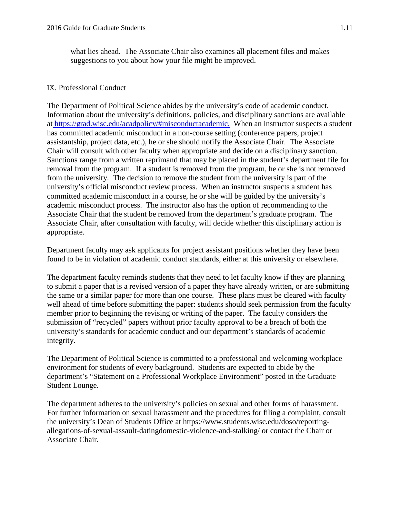what lies ahead. The Associate Chair also examines all placement files and makes suggestions to you about how your file might be improved.

#### IX. Professional Conduct

The Department of Political Science abides by the university's code of academic conduct. Information about the university's definitions, policies, and disciplinary sanctions are available at <https://grad.wisc.edu/acadpolicy/#misconductacademic.>When an instructor suspects a student has committed academic misconduct in a non-course setting (conference papers, project assistantship, project data, etc.), he or she should notify the Associate Chair. The Associate Chair will consult with other faculty when appropriate and decide on a disciplinary sanction. Sanctions range from a written reprimand that may be placed in the student's department file for removal from the program. If a student is removed from the program, he or she is not removed from the university. The decision to remove the student from the university is part of the university's official misconduct review process. When an instructor suspects a student has committed academic misconduct in a course, he or she will be guided by the university's academic misconduct process. The instructor also has the option of recommending to the Associate Chair that the student be removed from the department's graduate program. The Associate Chair, after consultation with faculty, will decide whether this disciplinary action is appropriate.

Department faculty may ask applicants for project assistant positions whether they have been found to be in violation of academic conduct standards, either at this university or elsewhere.

The department faculty reminds students that they need to let faculty know if they are planning to submit a paper that is a revised version of a paper they have already written, or are submitting the same or a similar paper for more than one course. These plans must be cleared with faculty well ahead of time before submitting the paper: students should seek permission from the faculty member prior to beginning the revising or writing of the paper. The faculty considers the submission of "recycled" papers without prior faculty approval to be a breach of both the university's standards for academic conduct and our department's standards of academic integrity.

The Department of Political Science is committed to a professional and welcoming workplace environment for students of every background. Students are expected to abide by the department's "Statement on a Professional Workplace Environment" posted in the Graduate Student Lounge.

The department adheres to the university's policies on sexual and other forms of harassment. For further information on sexual harassment and the procedures for filing a complaint, consult the university's [Dean of Students Office](hhttps://www.students.wisc.edu/doso/) at [https://www.students.wisc.edu/doso/reporting](https://www.students.wisc.edu/doso/reporting-allegations-of-sexual-assault-datingdomestic-violence-and-stalking/)[allegations-of-sexual-assault-datingdomestic-violence-and-stalking/](https://www.students.wisc.edu/doso/reporting-allegations-of-sexual-assault-datingdomestic-violence-and-stalking/) or contact the Chair or Associate Chair.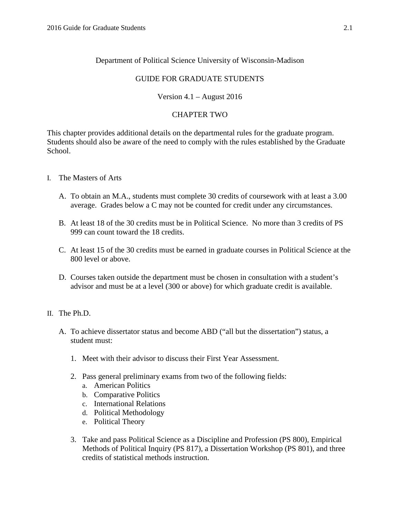# Department of Political Science University of Wisconsin-Madison

## GUIDE FOR GRADUATE STUDENTS

# Version 4.1 – August 2016

## CHAPTER TWO

This chapter provides additional details on the departmental rules for the graduate program. Students should also be aware of the need to comply with the rules established by the Graduate School.

- I. The Masters of Arts
	- A. To obtain an M.A., students must complete 30 credits of coursework with at least a 3.00 average. Grades below a C may not be counted for credit under any circumstances.
	- B. At least 18 of the 30 credits must be in Political Science. No more than 3 credits of PS 999 can count toward the 18 credits.
	- C. At least 15 of the 30 credits must be earned in graduate courses in Political Science at the 800 level or above.
	- D. Courses taken outside the department must be chosen in consultation with a student's advisor and must be at a level (300 or above) for which graduate credit is available.
- II. The Ph.D.
	- A. To achieve dissertator status and become ABD ("all but the dissertation") status, a student must:
		- 1. Meet with their advisor to discuss their First Year Assessment.
		- 2. Pass general preliminary exams from two of the following fields:
			- a. American Politics
			- b. Comparative Politics
			- c. International Relations
			- d. Political Methodology
			- e. Political Theory
		- 3. Take and pass Political Science as a Discipline and Profession (PS 800), Empirical Methods of Political Inquiry (PS 817), a Dissertation Workshop (PS 801), and three credits of statistical methods instruction.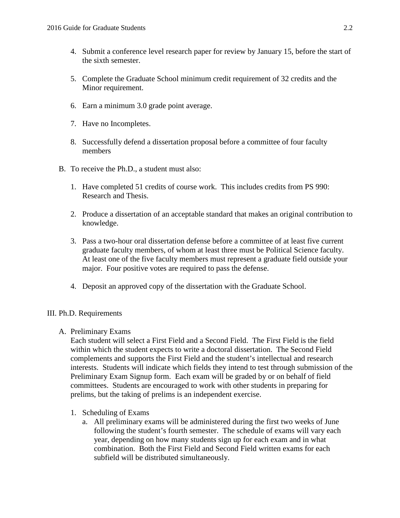- 4. Submit a conference level research paper for review by January 15, before the start of the sixth semester.
- 5. Complete the Graduate School minimum credit requirement of 32 credits and the Minor requirement.
- 6. Earn a minimum 3.0 grade point average.
- 7. Have no Incompletes.
- 8. Successfully defend a dissertation proposal before a committee of four faculty members
- B. To receive the Ph.D., a student must also:
	- 1. Have completed 51 credits of course work. This includes credits from PS 990: Research and Thesis.
	- 2. Produce a dissertation of an acceptable standard that makes an original contribution to knowledge.
	- 3. Pass a two-hour oral dissertation defense before a committee of at least five current graduate faculty members, of whom at least three must be Political Science faculty. At least one of the five faculty members must represent a graduate field outside your major. Four positive votes are required to pass the defense.
	- 4. Deposit an approved copy of the dissertation with the Graduate School.

## III. Ph.D. Requirements

#### A. Preliminary Exams

Each student will select a First Field and a Second Field. The First Field is the field within which the student expects to write a doctoral dissertation. The Second Field complements and supports the First Field and the student's intellectual and research interests. Students will indicate which fields they intend to test through submission of the Preliminary Exam Signup form. Each exam will be graded by or on behalf of field committees. Students are encouraged to work with other students in preparing for prelims, but the taking of prelims is an independent exercise.

- 1. Scheduling of Exams
	- a. All preliminary exams will be administered during the first two weeks of June following the student's fourth semester. The schedule of exams will vary each year, depending on how many students sign up for each exam and in what combination. Both the First Field and Second Field written exams for each subfield will be distributed simultaneously.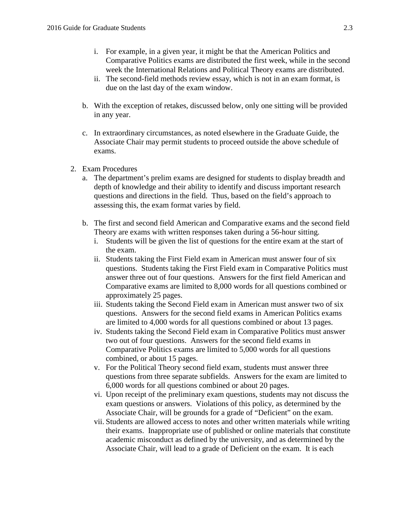- i. For example, in a given year, it might be that the American Politics and Comparative Politics exams are distributed the first week, while in the second week the International Relations and Political Theory exams are distributed.
- ii. The second-field methods review essay, which is not in an exam format, is due on the last day of the exam window.
- b. With the exception of retakes, discussed below, only one sitting will be provided in any year.
- c. In extraordinary circumstances, as noted elsewhere in the Graduate Guide, the Associate Chair may permit students to proceed outside the above schedule of exams.
- 2. Exam Procedures
	- a. The department's prelim exams are designed for students to display breadth and depth of knowledge and their ability to identify and discuss important research questions and directions in the field. Thus, based on the field's approach to assessing this, the exam format varies by field.
	- b. The first and second field American and Comparative exams and the second field Theory are exams with written responses taken during a 56-hour sitting.
		- i. Students will be given the list of questions for the entire exam at the start of the exam.
		- ii. Students taking the First Field exam in American must answer four of six questions. Students taking the First Field exam in Comparative Politics must answer three out of four questions. Answers for the first field American and Comparative exams are limited to 8,000 words for all questions combined or approximately 25 pages.
		- iii. Students taking the Second Field exam in American must answer two of six questions. Answers for the second field exams in American Politics exams are limited to 4,000 words for all questions combined or about 13 pages.
		- iv. Students taking the Second Field exam in Comparative Politics must answer two out of four questions. Answers for the second field exams in Comparative Politics exams are limited to 5,000 words for all questions combined, or about 15 pages.
		- v. For the Political Theory second field exam, students must answer three questions from three separate subfields. Answers for the exam are limited to 6,000 words for all questions combined or about 20 pages.
		- vi. Upon receipt of the preliminary exam questions, students may not discuss the exam questions or answers. Violations of this policy, as determined by the Associate Chair, will be grounds for a grade of "Deficient" on the exam.
		- vii. Students are allowed access to notes and other written materials while writing their exams. Inappropriate use of published or online materials that constitute academic misconduct as defined by the university, and as determined by the Associate Chair, will lead to a grade of Deficient on the exam. It is each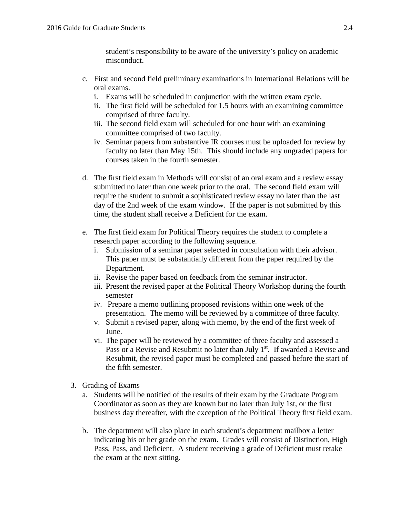student's responsibility to be aware of the university's policy on academic misconduct.

- c. First and second field preliminary examinations in International Relations will be oral exams.
	- i. Exams will be scheduled in conjunction with the written exam cycle.
	- ii. The first field will be scheduled for 1.5 hours with an examining committee comprised of three faculty.
	- iii. The second field exam will scheduled for one hour with an examining committee comprised of two faculty.
	- iv. Seminar papers from substantive IR courses must be uploaded for review by faculty no later than May 15th. This should include any ungraded papers for courses taken in the fourth semester.
- d. The first field exam in Methods will consist of an oral exam and a review essay submitted no later than one week prior to the oral. The second field exam will require the student to submit a sophisticated review essay no later than the last day of the 2nd week of the exam window. If the paper is not submitted by this time, the student shall receive a Deficient for the exam.
- e. The first field exam for Political Theory requires the student to complete a research paper according to the following sequence.
	- i. Submission of a seminar paper selected in consultation with their advisor. This paper must be substantially different from the paper required by the Department.
	- ii. Revise the paper based on feedback from the seminar instructor.
	- iii. Present the revised paper at the Political Theory Workshop during the fourth semester
	- iv. Prepare a memo outlining proposed revisions within one week of the presentation. The memo will be reviewed by a committee of three faculty.
	- v. Submit a revised paper, along with memo, by the end of the first week of June.
	- vi. The paper will be reviewed by a committee of three faculty and assessed a Pass or a Revise and Resubmit no later than July 1<sup>st</sup>. If awarded a Revise and Resubmit, the revised paper must be completed and passed before the start of the fifth semester.
- 3. Grading of Exams
	- a. Students will be notified of the results of their exam by the Graduate Program Coordinator as soon as they are known but no later than July 1st, or the first business day thereafter, with the exception of the Political Theory first field exam.
	- b. The department will also place in each student's department mailbox a letter indicating his or her grade on the exam. Grades will consist of Distinction, High Pass, Pass, and Deficient. A student receiving a grade of Deficient must retake the exam at the next sitting.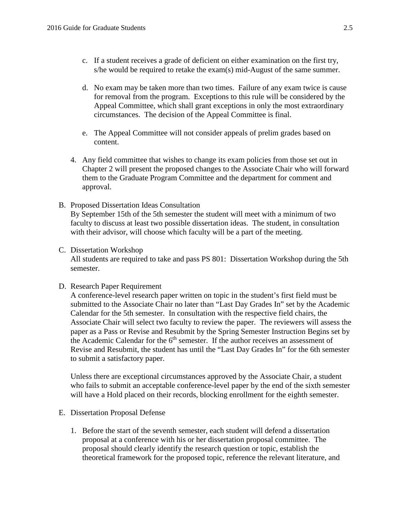- c. If a student receives a grade of deficient on either examination on the first try, s/he would be required to retake the exam(s) mid-August of the same summer.
- d. No exam may be taken more than two times. Failure of any exam twice is cause for removal from the program. Exceptions to this rule will be considered by the Appeal Committee, which shall grant exceptions in only the most extraordinary circumstances. The decision of the Appeal Committee is final.
- e. The Appeal Committee will not consider appeals of prelim grades based on content.
- 4. Any field committee that wishes to change its exam policies from those set out in Chapter 2 will present the proposed changes to the Associate Chair who will forward them to the Graduate Program Committee and the department for comment and approval.
- B. Proposed Dissertation Ideas Consultation By September 15th of the 5th semester the student will meet with a minimum of two faculty to discuss at least two possible dissertation ideas. The student, in consultation with their advisor, will choose which faculty will be a part of the meeting.

#### C. Dissertation Workshop

All students are required to take and pass PS 801: Dissertation Workshop during the 5th semester.

#### D. Research Paper Requirement

A conference-level research paper written on topic in the student's first field must be submitted to the Associate Chair no later than "Last Day Grades In" set by the Academic Calendar for the 5th semester. In consultation with the respective field chairs, the Associate Chair will select two faculty to review the paper. The reviewers will assess the paper as a Pass or Revise and Resubmit by the Spring Semester Instruction Begins set by the Academic Calendar for the 6<sup>th</sup> semester. If the author receives an assessment of Revise and Resubmit, the student has until the "Last Day Grades In" for the 6th semester to submit a satisfactory paper.

Unless there are exceptional circumstances approved by the Associate Chair, a student who fails to submit an acceptable conference-level paper by the end of the sixth semester will have a Hold placed on their records, blocking enrollment for the eighth semester.

- E. Dissertation Proposal Defense
	- 1. Before the start of the seventh semester, each student will defend a dissertation proposal at a conference with his or her dissertation proposal committee. The proposal should clearly identify the research question or topic, establish the theoretical framework for the proposed topic, reference the relevant literature, and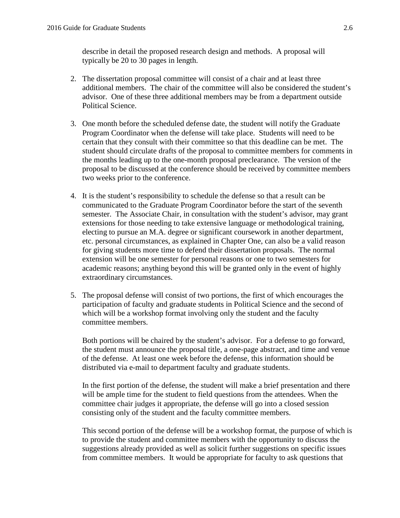describe in detail the proposed research design and methods. A proposal will typically be 20 to 30 pages in length.

- 2. The dissertation proposal committee will consist of a chair and at least three additional members. The chair of the committee will also be considered the student's advisor. One of these three additional members may be from a department outside Political Science.
- 3. One month before the scheduled defense date, the student will notify the Graduate Program Coordinator when the defense will take place. Students will need to be certain that they consult with their committee so that this deadline can be met. The student should circulate drafts of the proposal to committee members for comments in the months leading up to the one-month proposal preclearance. The version of the proposal to be discussed at the conference should be received by committee members two weeks prior to the conference.
- 4. It is the student's responsibility to schedule the defense so that a result can be communicated to the Graduate Program Coordinator before the start of the seventh semester. The Associate Chair, in consultation with the student's advisor, may grant extensions for those needing to take extensive language or methodological training, electing to pursue an M.A. degree or significant coursework in another department, etc. personal circumstances, as explained in Chapter One, can also be a valid reason for giving students more time to defend their dissertation proposals. The normal extension will be one semester for personal reasons or one to two semesters for academic reasons; anything beyond this will be granted only in the event of highly extraordinary circumstances.
- 5. The proposal defense will consist of two portions, the first of which encourages the participation of faculty and graduate students in Political Science and the second of which will be a workshop format involving only the student and the faculty committee members.

Both portions will be chaired by the student's advisor. For a defense to go forward, the student must announce the proposal title, a one-page abstract, and time and venue of the defense. At least one week before the defense, this information should be distributed via e-mail to department faculty and graduate students.

In the first portion of the defense, the student will make a brief presentation and there will be ample time for the student to field questions from the attendees. When the committee chair judges it appropriate, the defense will go into a closed session consisting only of the student and the faculty committee members.

This second portion of the defense will be a workshop format, the purpose of which is to provide the student and committee members with the opportunity to discuss the suggestions already provided as well as solicit further suggestions on specific issues from committee members. It would be appropriate for faculty to ask questions that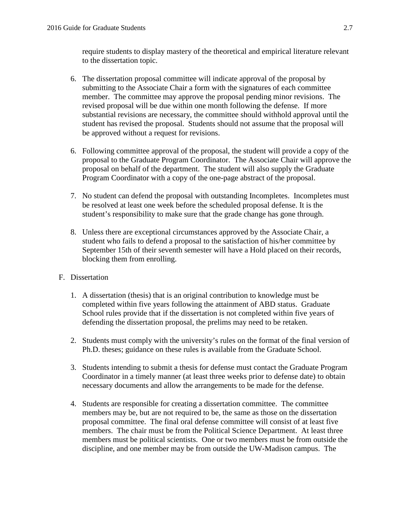require students to display mastery of the theoretical and empirical literature relevant to the dissertation topic.

- 6. The dissertation proposal committee will indicate approval of the proposal by submitting to the Associate Chair a form with the signatures of each committee member. The committee may approve the proposal pending minor revisions. The revised proposal will be due within one month following the defense. If more substantial revisions are necessary, the committee should withhold approval until the student has revised the proposal. Students should not assume that the proposal will be approved without a request for revisions.
- 6. Following committee approval of the proposal, the student will provide a copy of the proposal to the Graduate Program Coordinator. The Associate Chair will approve the proposal on behalf of the department. The student will also supply the Graduate Program Coordinator with a copy of the one-page abstract of the proposal.
- 7. No student can defend the proposal with outstanding Incompletes. Incompletes must be resolved at least one week before the scheduled proposal defense. It is the student's responsibility to make sure that the grade change has gone through.
- 8. Unless there are exceptional circumstances approved by the Associate Chair, a student who fails to defend a proposal to the satisfaction of his/her committee by September 15th of their seventh semester will have a Hold placed on their records, blocking them from enrolling.

# F. Dissertation

- 1. A dissertation (thesis) that is an original contribution to knowledge must be completed within five years following the attainment of ABD status. Graduate School rules provide that if the dissertation is not completed within five years of defending the dissertation proposal, the prelims may need to be retaken.
- 2. Students must comply with the university's rules on the format of the final version of Ph.D. theses; guidance on these rules is available from the Graduate School.
- 3. Students intending to submit a thesis for defense must contact the Graduate Program Coordinator in a timely manner (at least three weeks prior to defense date) to obtain necessary documents and allow the arrangements to be made for the defense.
- 4. Students are responsible for creating a dissertation committee. The committee members may be, but are not required to be, the same as those on the dissertation proposal committee. The final oral defense committee will consist of at least five members. The chair must be from the Political Science Department. At least three members must be political scientists. One or two members must be from outside the discipline, and one member may be from outside the UW-Madison campus. The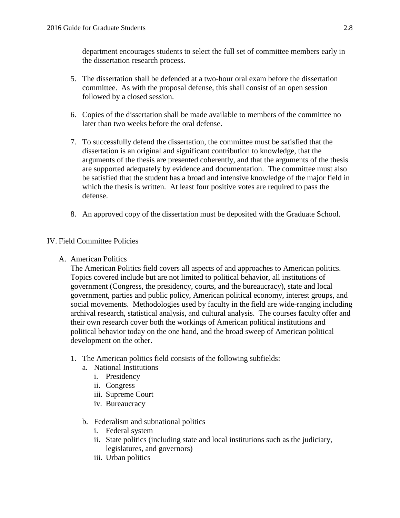department encourages students to select the full set of committee members early in the dissertation research process.

- 5. The dissertation shall be defended at a two-hour oral exam before the dissertation committee. As with the proposal defense, this shall consist of an open session followed by a closed session.
- 6. Copies of the dissertation shall be made available to members of the committee no later than two weeks before the oral defense.
- 7. To successfully defend the dissertation, the committee must be satisfied that the dissertation is an original and significant contribution to knowledge, that the arguments of the thesis are presented coherently, and that the arguments of the thesis are supported adequately by evidence and documentation. The committee must also be satisfied that the student has a broad and intensive knowledge of the major field in which the thesis is written. At least four positive votes are required to pass the defense.
- 8. An approved copy of the dissertation must be deposited with the Graduate School.

# IV. Field Committee Policies

A. American Politics

The American Politics field covers all aspects of and approaches to American politics. Topics covered include but are not limited to political behavior, all institutions of government (Congress, the presidency, courts, and the bureaucracy), state and local government, parties and public policy, American political economy, interest groups, and social movements. Methodologies used by faculty in the field are wide-ranging including archival research, statistical analysis, and cultural analysis. The courses faculty offer and their own research cover both the workings of American political institutions and political behavior today on the one hand, and the broad sweep of American political development on the other.

- 1. The American politics field consists of the following subfields:
	- a. National Institutions
		- i. Presidency
		- ii. Congress
		- iii. Supreme Court
		- iv. Bureaucracy
	- b. Federalism and subnational politics
		- i. Federal system
		- ii. State politics (including state and local institutions such as the judiciary, legislatures, and governors)
		- iii. Urban politics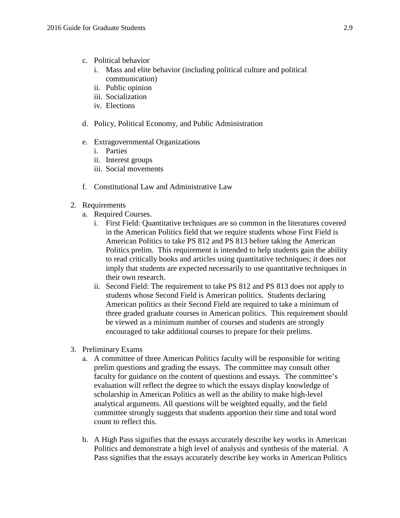- c. Political behavior
	- i. Mass and elite behavior (including political culture and political communication)
	- ii. Public opinion
	- iii. Socialization
	- iv. Elections
- d. Policy, Political Economy, and Public Administration
- e. Extragovernmental Organizations
	- i. Parties
	- ii. Interest groups
	- iii. Social movements
- f. Constitutional Law and Administrative Law
- 2. Requirements
	- a. Required Courses.
		- i. First Field: Quantitative techniques are so common in the literatures covered in the American Politics field that we require students whose First Field is American Politics to take PS 812 and PS 813 before taking the American Politics prelim. This requirement is intended to help students gain the ability to read critically books and articles using quantitative techniques; it does not imply that students are expected necessarily to use quantitative techniques in their own research.
		- ii. Second Field: The requirement to take PS 812 and PS 813 does not apply to students whose Second Field is American politics. Students declaring American politics as their Second Field are required to take a minimum of three graded graduate courses in American politics. This requirement should be viewed as a minimum number of courses and students are strongly encouraged to take additional courses to prepare for their prelims.
- 3. Preliminary Exams
	- a. A committee of three American Politics faculty will be responsible for writing prelim questions and grading the essays. The committee may consult other faculty for guidance on the content of questions and essays. The committee's evaluation will reflect the degree to which the essays display knowledge of scholarship in American Politics as well as the ability to make high-level analytical arguments. All questions will be weighted equally, and the field committee strongly suggests that students apportion their time and total word count to reflect this.
	- b. A High Pass signifies that the essays accurately describe key works in American Politics and demonstrate a high level of analysis and synthesis of the material. A Pass signifies that the essays accurately describe key works in American Politics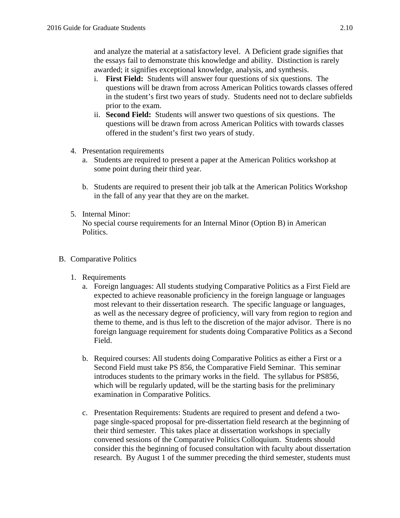and analyze the material at a satisfactory level. A Deficient grade signifies that the essays fail to demonstrate this knowledge and ability. Distinction is rarely awarded; it signifies exceptional knowledge, analysis, and synthesis.

- i. **First Field:** Students will answer four questions of six questions. The questions will be drawn from across American Politics towards classes offered in the student's first two years of study. Students need not to declare subfields prior to the exam.
- ii. **Second Field:** Students will answer two questions of six questions. The questions will be drawn from across American Politics with towards classes offered in the student's first two years of study.
- 4. Presentation requirements
	- a. Students are required to present a paper at the American Politics workshop at some point during their third year.
	- b. Students are required to present their job talk at the American Politics Workshop in the fall of any year that they are on the market.
- 5. Internal Minor: No special course requirements for an Internal Minor (Option B) in American **Politics**
- B. Comparative Politics
	- 1. Requirements
		- a. Foreign languages: All students studying Comparative Politics as a First Field are expected to achieve reasonable proficiency in the foreign language or languages most relevant to their dissertation research. The specific language or languages, as well as the necessary degree of proficiency, will vary from region to region and theme to theme, and is thus left to the discretion of the major advisor. There is no foreign language requirement for students doing Comparative Politics as a Second Field.
		- b. Required courses: All students doing Comparative Politics as either a First or a Second Field must take PS 856, the Comparative Field Seminar. This seminar introduces students to the primary works in the field. The syllabus for PS856, which will be regularly updated, will be the starting basis for the preliminary examination in Comparative Politics.
		- c. Presentation Requirements: Students are required to present and defend a twopage single-spaced proposal for pre-dissertation field research at the beginning of their third semester. This takes place at dissertation workshops in specially convened sessions of the Comparative Politics Colloquium. Students should consider this the beginning of focused consultation with faculty about dissertation research. By August 1 of the summer preceding the third semester, students must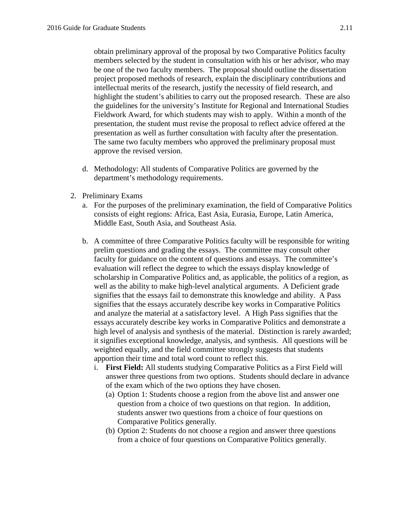obtain preliminary approval of the proposal by two Comparative Politics faculty members selected by the student in consultation with his or her advisor, who may be one of the two faculty members. The proposal should outline the dissertation project proposed methods of research, explain the disciplinary contributions and intellectual merits of the research, justify the necessity of field research, and highlight the student's abilities to carry out the proposed research. These are also the guidelines for the university's Institute for Regional and International Studies Fieldwork Award, for which students may wish to apply. Within a month of the presentation, the student must revise the proposal to reflect advice offered at the presentation as well as further consultation with faculty after the presentation. The same two faculty members who approved the preliminary proposal must approve the revised version.

- d. Methodology: All students of Comparative Politics are governed by the department's methodology requirements.
- 2. Preliminary Exams
	- a. For the purposes of the preliminary examination, the field of Comparative Politics consists of eight regions: Africa, East Asia, Eurasia, Europe, Latin America, Middle East, South Asia, and Southeast Asia.
	- b. A committee of three Comparative Politics faculty will be responsible for writing prelim questions and grading the essays. The committee may consult other faculty for guidance on the content of questions and essays. The committee's evaluation will reflect the degree to which the essays display knowledge of scholarship in Comparative Politics and, as applicable, the politics of a region, as well as the ability to make high-level analytical arguments. A Deficient grade signifies that the essays fail to demonstrate this knowledge and ability. A Pass signifies that the essays accurately describe key works in Comparative Politics and analyze the material at a satisfactory level. A High Pass signifies that the essays accurately describe key works in Comparative Politics and demonstrate a high level of analysis and synthesis of the material. Distinction is rarely awarded; it signifies exceptional knowledge, analysis, and synthesis. All questions will be weighted equally, and the field committee strongly suggests that students apportion their time and total word count to reflect this.
		- i. **First Field:** All students studying Comparative Politics as a First Field will answer three questions from two options. Students should declare in advance of the exam which of the two options they have chosen.
			- (a) Option 1: Students choose a region from the above list and answer one question from a choice of two questions on that region. In addition, students answer two questions from a choice of four questions on Comparative Politics generally.
			- (b) Option 2: Students do not choose a region and answer three questions from a choice of four questions on Comparative Politics generally.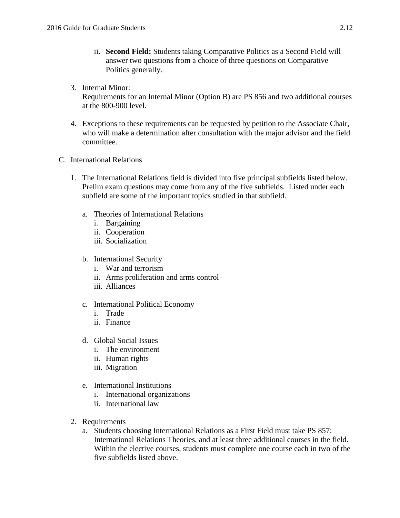- ii. **Second Field:** Students taking Comparative Politics as a Second Field will answer two questions from a choice of three questions on Comparative Politics generally.
- 3. Internal Minor: Requirements for an Internal Minor (Option B) are PS 856 and two additional courses at the 800-900 level.
- 4. Exceptions to these requirements can be requested by petition to the Associate Chair, who will make a determination after consultation with the major advisor and the field committee.
- C. International Relations
	- 1. The International Relations field is divided into five principal subfields listed below. Prelim exam questions may come from any of the five subfields. Listed under each subfield are some of the important topics studied in that subfield.
		- a. Theories of International Relations
			- i. Bargaining
			- ii. Cooperation
			- iii. Socialization
		- b. International Security
			- i. War and terrorism
			- ii. Arms proliferation and arms control
			- iii. Alliances
		- c. International Political Economy
			- i. Trade
			- ii. Finance
		- d. Global Social Issues
			- i. The environment
			- ii. Human rights
			- iii. Migration
		- e. International Institutions
			- i. International organizations
			- ii. International law
	- 2. Requirements
		- a. Students choosing International Relations as a First Field must take PS 857: International Relations Theories, and at least three additional courses in the field. Within the elective courses, students must complete one course each in two of the five subfields listed above.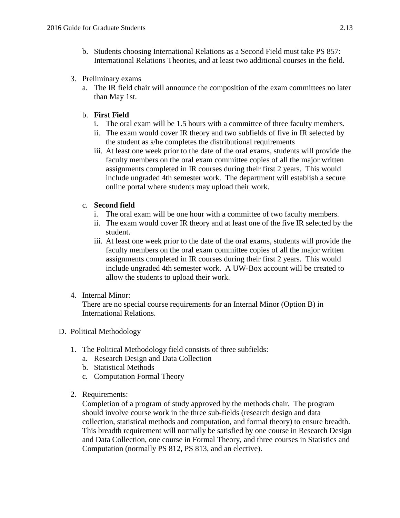- b. Students choosing International Relations as a Second Field must take PS 857: International Relations Theories, and at least two additional courses in the field.
- 3. Preliminary exams
	- a. The IR field chair will announce the composition of the exam committees no later than May 1st.

## b. **First Field**

- i. The oral exam will be 1.5 hours with a committee of three faculty members.
- ii. The exam would cover IR theory and two subfields of five in IR selected by the student as s/he completes the distributional requirements
- iii. At least one week prior to the date of the oral exams, students will provide the faculty members on the oral exam committee copies of all the major written assignments completed in IR courses during their first 2 years. This would include ungraded 4th semester work. The department will establish a secure online portal where students may upload their work.

## c. **Second field**

- i. The oral exam will be one hour with a committee of two faculty members.
- ii. The exam would cover IR theory and at least one of the five IR selected by the student.
- iii. At least one week prior to the date of the oral exams, students will provide the faculty members on the oral exam committee copies of all the major written assignments completed in IR courses during their first 2 years. This would include ungraded 4th semester work. A UW-Box account will be created to allow the students to upload their work.

## 4. Internal Minor:

There are no special course requirements for an Internal Minor (Option B) in International Relations.

## D. Political Methodology

- 1. The Political Methodology field consists of three subfields:
	- a. Research Design and Data Collection
	- b. Statistical Methods
	- c. Computation Formal Theory
- 2. Requirements:

Completion of a program of study approved by the methods chair. The program should involve course work in the three sub-fields (research design and data collection, statistical methods and computation, and formal theory) to ensure breadth. This breadth requirement will normally be satisfied by one course in Research Design and Data Collection, one course in Formal Theory, and three courses in Statistics and Computation (normally PS 812, PS 813, and an elective).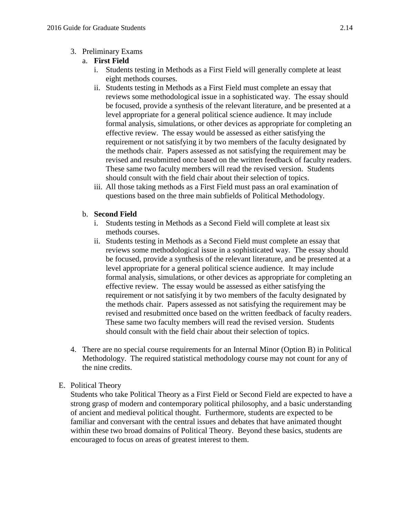## 3. Preliminary Exams

## a. **First Field**

- i. Students testing in Methods as a First Field will generally complete at least eight methods courses.
- ii. Students testing in Methods as a First Field must complete an essay that reviews some methodological issue in a sophisticated way. The essay should be focused, provide a synthesis of the relevant literature, and be presented at a level appropriate for a general political science audience. It may include formal analysis, simulations, or other devices as appropriate for completing an effective review. The essay would be assessed as either satisfying the requirement or not satisfying it by two members of the faculty designated by the methods chair. Papers assessed as not satisfying the requirement may be revised and resubmitted once based on the written feedback of faculty readers. These same two faculty members will read the revised version. Students should consult with the field chair about their selection of topics.
- iii. All those taking methods as a First Field must pass an oral examination of questions based on the three main subfields of Political Methodology.

# b. **Second Field**

- i. Students testing in Methods as a Second Field will complete at least six methods courses.
- ii. Students testing in Methods as a Second Field must complete an essay that reviews some methodological issue in a sophisticated way. The essay should be focused, provide a synthesis of the relevant literature, and be presented at a level appropriate for a general political science audience. It may include formal analysis, simulations, or other devices as appropriate for completing an effective review. The essay would be assessed as either satisfying the requirement or not satisfying it by two members of the faculty designated by the methods chair. Papers assessed as not satisfying the requirement may be revised and resubmitted once based on the written feedback of faculty readers. These same two faculty members will read the revised version. Students should consult with the field chair about their selection of topics.
- 4. There are no special course requirements for an Internal Minor (Option B) in Political Methodology. The required statistical methodology course may not count for any of the nine credits.

## E. Political Theory

Students who take Political Theory as a First Field or Second Field are expected to have a strong grasp of modern and contemporary political philosophy, and a basic understanding of ancient and medieval political thought. Furthermore, students are expected to be familiar and conversant with the central issues and debates that have animated thought within these two broad domains of Political Theory. Beyond these basics, students are encouraged to focus on areas of greatest interest to them.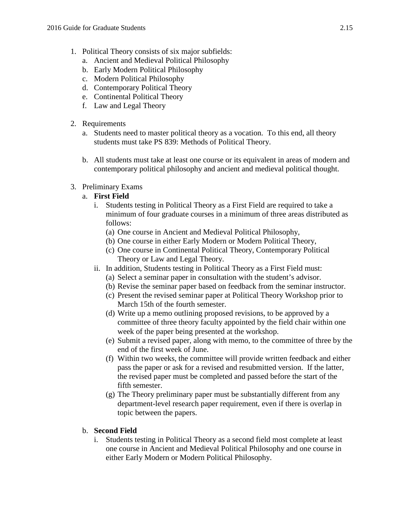- 1. Political Theory consists of six major subfields:
	- a. Ancient and Medieval Political Philosophy
	- b. Early Modern Political Philosophy
	- c. Modern Political Philosophy
	- d. Contemporary Political Theory
	- e. Continental Political Theory
	- f. Law and Legal Theory
- 2. Requirements
	- a. Students need to master political theory as a vocation. To this end, all theory students must take PS 839: Methods of Political Theory.
	- b. All students must take at least one course or its equivalent in areas of modern and contemporary political philosophy and ancient and medieval political thought.
- 3. Preliminary Exams

# a. **First Field**

- i. Students testing in Political Theory as a First Field are required to take a minimum of four graduate courses in a minimum of three areas distributed as follows:
	- (a) One course in Ancient and Medieval Political Philosophy,
	- (b) One course in either Early Modern or Modern Political Theory,
	- (c) One course in Continental Political Theory, Contemporary Political Theory or Law and Legal Theory.
- ii. In addition, Students testing in Political Theory as a First Field must:
	- (a) Select a seminar paper in consultation with the student's advisor.
	- (b) Revise the seminar paper based on feedback from the seminar instructor.
	- (c) Present the revised seminar paper at Political Theory Workshop prior to March 15th of the fourth semester.
	- (d) Write up a memo outlining proposed revisions, to be approved by a committee of three theory faculty appointed by the field chair within one week of the paper being presented at the workshop.
	- (e) Submit a revised paper, along with memo, to the committee of three by the end of the first week of June.
	- (f) Within two weeks, the committee will provide written feedback and either pass the paper or ask for a revised and resubmitted version. If the latter, the revised paper must be completed and passed before the start of the fifth semester.
	- (g) The Theory preliminary paper must be substantially different from any department-level research paper requirement, even if there is overlap in topic between the papers.

## b. **Second Field**

i. Students testing in Political Theory as a second field most complete at least one course in Ancient and Medieval Political Philosophy and one course in either Early Modern or Modern Political Philosophy.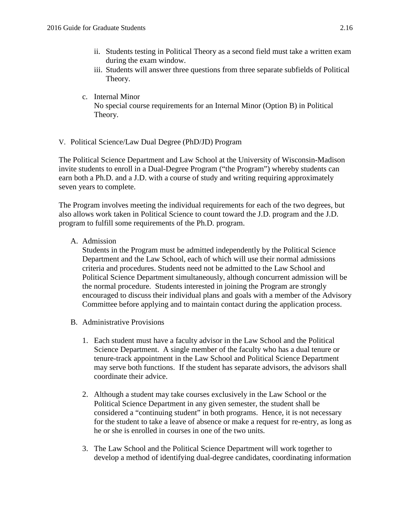- ii. Students testing in Political Theory as a second field must take a written exam during the exam window.
- iii. Students will answer three questions from three separate subfields of Political Theory.
- c. Internal Minor No special course requirements for an Internal Minor (Option B) in Political Theory.
- V. Political Science/Law Dual Degree (PhD/JD) Program

The Political Science Department and Law School at the University of Wisconsin-Madison invite students to enroll in a Dual-Degree Program ("the Program") whereby students can earn both a Ph.D. and a J.D. with a course of study and writing requiring approximately seven years to complete.

The Program involves meeting the individual requirements for each of the two degrees, but also allows work taken in Political Science to count toward the J.D. program and the J.D. program to fulfill some requirements of the Ph.D. program.

A. Admission

Students in the Program must be admitted independently by the Political Science Department and the Law School, each of which will use their normal admissions criteria and procedures. Students need not be admitted to the Law School and Political Science Department simultaneously, although concurrent admission will be the normal procedure. Students interested in joining the Program are strongly encouraged to discuss their individual plans and goals with a member of the Advisory Committee before applying and to maintain contact during the application process.

- B. Administrative Provisions
	- 1. Each student must have a faculty advisor in the Law School and the Political Science Department. A single member of the faculty who has a dual tenure or tenure-track appointment in the Law School and Political Science Department may serve both functions. If the student has separate advisors, the advisors shall coordinate their advice.
	- 2. Although a student may take courses exclusively in the Law School or the Political Science Department in any given semester, the student shall be considered a "continuing student" in both programs. Hence, it is not necessary for the student to take a leave of absence or make a request for re-entry, as long as he or she is enrolled in courses in one of the two units.
	- 3. The Law School and the Political Science Department will work together to develop a method of identifying dual-degree candidates, coordinating information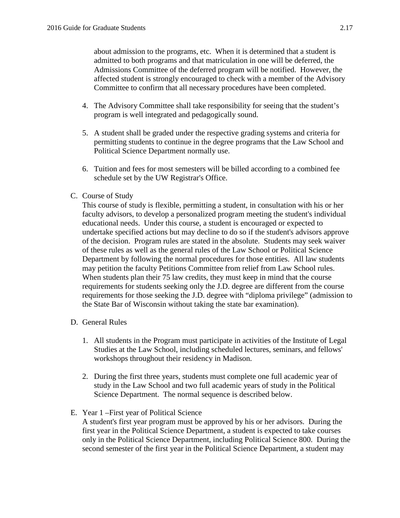about admission to the programs, etc. When it is determined that a student is admitted to both programs and that matriculation in one will be deferred, the Admissions Committee of the deferred program will be notified. However, the affected student is strongly encouraged to check with a member of the Advisory Committee to confirm that all necessary procedures have been completed.

- 4. The Advisory Committee shall take responsibility for seeing that the student's program is well integrated and pedagogically sound.
- 5. A student shall be graded under the respective grading systems and criteria for permitting students to continue in the degree programs that the Law School and Political Science Department normally use.
- 6. Tuition and fees for most semesters will be billed according to a combined fee schedule set by the UW Registrar's Office.
- C. Course of Study

This course of study is flexible, permitting a student, in consultation with his or her faculty advisors, to develop a personalized program meeting the student's individual educational needs. Under this course, a student is encouraged or expected to undertake specified actions but may decline to do so if the student's advisors approve of the decision. Program rules are stated in the absolute. Students may seek waiver of these rules as well as the general rules of the Law School or Political Science Department by following the normal procedures for those entities. All law students may petition the faculty Petitions Committee from relief from Law School rules. When students plan their 75 law credits, they must keep in mind that the course requirements for students seeking only the J.D. degree are different from the course requirements for those seeking the J.D. degree with "diploma privilege" (admission to the State Bar of Wisconsin without taking the state bar examination).

- D. General Rules
	- 1. All students in the Program must participate in activities of the Institute of Legal Studies at the Law School, including scheduled lectures, seminars, and fellows' workshops throughout their residency in Madison.
	- 2. During the first three years, students must complete one full academic year of study in the Law School and two full academic years of study in the Political Science Department. The normal sequence is described below.
- E. Year 1 –First year of Political Science

A student's first year program must be approved by his or her advisors. During the first year in the Political Science Department, a student is expected to take courses only in the Political Science Department, including Political Science 800. During the second semester of the first year in the Political Science Department, a student may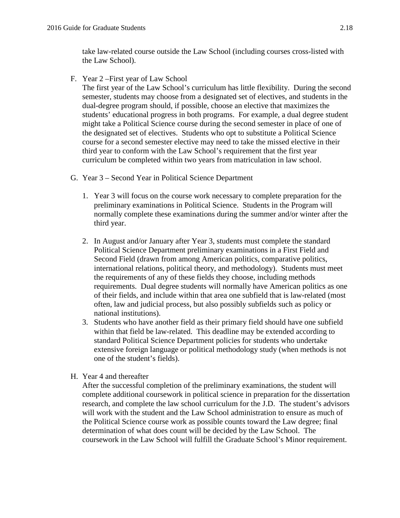take law-related course outside the Law School (including courses cross-listed with the Law School).

F. Year 2 –First year of Law School

The first year of the Law School's curriculum has little flexibility. During the second semester, students may choose from a designated set of electives, and students in the dual-degree program should, if possible, choose an elective that maximizes the students' educational progress in both programs. For example, a dual degree student might take a Political Science course during the second semester in place of one of the designated set of electives. Students who opt to substitute a Political Science course for a second semester elective may need to take the missed elective in their third year to conform with the Law School's requirement that the first year curriculum be completed within two years from matriculation in law school.

- G. Year 3 Second Year in Political Science Department
	- 1. Year 3 will focus on the course work necessary to complete preparation for the preliminary examinations in Political Science. Students in the Program will normally complete these examinations during the summer and/or winter after the third year.
	- 2. In August and/or January after Year 3, students must complete the standard Political Science Department preliminary examinations in a First Field and Second Field (drawn from among American politics, comparative politics, international relations, political theory, and methodology). Students must meet the requirements of any of these fields they choose, including methods requirements. Dual degree students will normally have American politics as one of their fields, and include within that area one subfield that is law-related (most often, law and judicial process, but also possibly subfields such as policy or national institutions).
	- 3. Students who have another field as their primary field should have one subfield within that field be law-related. This deadline may be extended according to standard Political Science Department policies for students who undertake extensive foreign language or political methodology study (when methods is not one of the student's fields).
- H. Year 4 and thereafter

After the successful completion of the preliminary examinations, the student will complete additional coursework in political science in preparation for the dissertation research, and complete the law school curriculum for the J.D. The student's advisors will work with the student and the Law School administration to ensure as much of the Political Science course work as possible counts toward the Law degree; final determination of what does count will be decided by the Law School. The coursework in the Law School will fulfill the Graduate School's Minor requirement.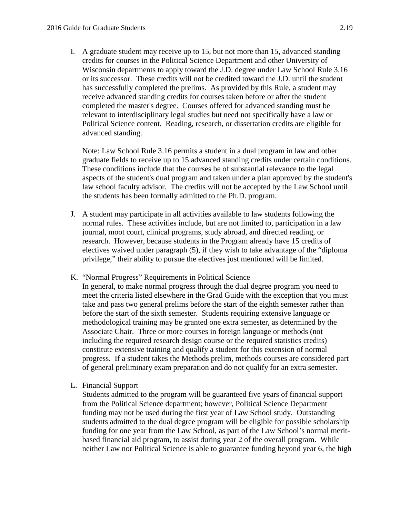I. A graduate student may receive up to 15, but not more than 15, advanced standing credits for courses in the Political Science Department and other University of Wisconsin departments to apply toward the J.D. degree under Law School Rule 3.16 or its successor. These credits will not be credited toward the J.D. until the student has successfully completed the prelims. As provided by this Rule, a student may receive advanced standing credits for courses taken before or after the student completed the master's degree. Courses offered for advanced standing must be relevant to interdisciplinary legal studies but need not specifically have a law or Political Science content. Reading, research, or dissertation credits are eligible for advanced standing.

Note: Law School Rule 3.16 permits a student in a dual program in law and other graduate fields to receive up to 15 advanced standing credits under certain conditions. These conditions include that the courses be of substantial relevance to the legal aspects of the student's dual program and taken under a plan approved by the student's law school faculty advisor. The credits will not be accepted by the Law School until the students has been formally admitted to the Ph.D. program.

- J. A student may participate in all activities available to law students following the normal rules. These activities include, but are not limited to, participation in a law journal, moot court, clinical programs, study abroad, and directed reading, or research. However, because students in the Program already have 15 credits of electives waived under paragraph (5), if they wish to take advantage of the "diploma privilege," their ability to pursue the electives just mentioned will be limited.
- K. "Normal Progress" Requirements in Political Science

In general, to make normal progress through the dual degree program you need to meet the criteria listed elsewhere in the Grad Guide with the exception that you must take and pass two general prelims before the start of the eighth semester rather than before the start of the sixth semester. Students requiring extensive language or methodological training may be granted one extra semester, as determined by the Associate Chair. Three or more courses in foreign language or methods (not including the required research design course or the required statistics credits) constitute extensive training and qualify a student for this extension of normal progress. If a student takes the Methods prelim, methods courses are considered part of general preliminary exam preparation and do not qualify for an extra semester.

L. Financial Support

Students admitted to the program will be guaranteed five years of financial support from the Political Science department; however, Political Science Department funding may not be used during the first year of Law School study. Outstanding students admitted to the dual degree program will be eligible for possible scholarship funding for one year from the Law School, as part of the Law School's normal meritbased financial aid program, to assist during year 2 of the overall program. While neither Law nor Political Science is able to guarantee funding beyond year 6, the high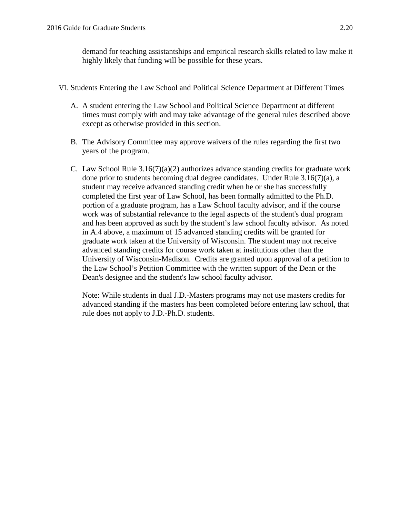demand for teaching assistantships and empirical research skills related to law make it highly likely that funding will be possible for these years.

- VI. Students Entering the Law School and Political Science Department at Different Times
	- A. A student entering the Law School and Political Science Department at different times must comply with and may take advantage of the general rules described above except as otherwise provided in this section.
	- B. The Advisory Committee may approve waivers of the rules regarding the first two years of the program.
	- C. Law School Rule  $3.16(7)(a)(2)$  authorizes advance standing credits for graduate work done prior to students becoming dual degree candidates. Under Rule 3.16(7)(a), a student may receive advanced standing credit when he or she has successfully completed the first year of Law School, has been formally admitted to the Ph.D. portion of a graduate program, has a Law School faculty advisor, and if the course work was of substantial relevance to the legal aspects of the student's dual program and has been approved as such by the student's law school faculty advisor. As noted in A.4 above, a maximum of 15 advanced standing credits will be granted for graduate work taken at the University of Wisconsin. The student may not receive advanced standing credits for course work taken at institutions other than the University of Wisconsin-Madison. Credits are granted upon approval of a petition to the Law School's Petition Committee with the written support of the Dean or the Dean's designee and the student's law school faculty advisor.

Note: While students in dual J.D.-Masters programs may not use masters credits for advanced standing if the masters has been completed before entering law school, that rule does not apply to J.D.-Ph.D. students.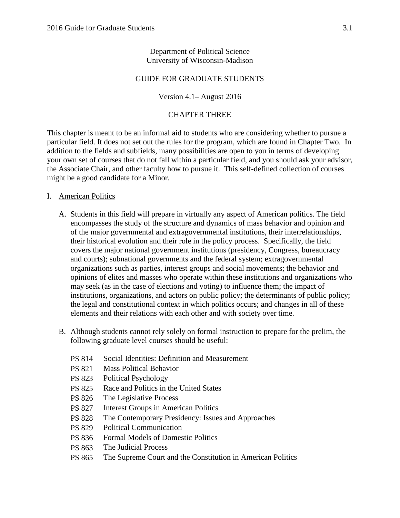## Department of Political Science University of Wisconsin-Madison

## GUIDE FOR GRADUATE STUDENTS

#### Version 4.1– August 2016

#### CHAPTER THREE

This chapter is meant to be an informal aid to students who are considering whether to pursue a particular field. It does not set out the rules for the program, which are found in Chapter Two. In addition to the fields and subfields, many possibilities are open to you in terms of developing your own set of courses that do not fall within a particular field, and you should ask your advisor, the Associate Chair, and other faculty how to pursue it. This self-defined collection of courses might be a good candidate for a Minor.

#### I. American Politics

- A. Students in this field will prepare in virtually any aspect of American politics. The field encompasses the study of the structure and dynamics of mass behavior and opinion and of the major governmental and extragovernmental institutions, their interrelationships, their historical evolution and their role in the policy process. Specifically, the field covers the major national government institutions (presidency, Congress, bureaucracy and courts); subnational governments and the federal system; extragovernmental organizations such as parties, interest groups and social movements; the behavior and opinions of elites and masses who operate within these institutions and organizations who may seek (as in the case of elections and voting) to influence them; the impact of institutions, organizations, and actors on public policy; the determinants of public policy; the legal and constitutional context in which politics occurs; and changes in all of these elements and their relations with each other and with society over time.
- B. Although students cannot rely solely on formal instruction to prepare for the prelim, the following graduate level courses should be useful:
	- PS 814 Social Identities: Definition and Measurement
	- PS 821 Mass Political Behavior
	- PS 823 Political Psychology
	- PS 825 Race and Politics in the United States
	- PS 826 The Legislative Process
	- PS 827 Interest Groups in American Politics
	- PS 828 The Contemporary Presidency: Issues and Approaches
	- PS 829 Political Communication
	- PS 836 Formal Models of Domestic Politics
	- PS 863 The Judicial Process
	- PS 865 The Supreme Court and the Constitution in American Politics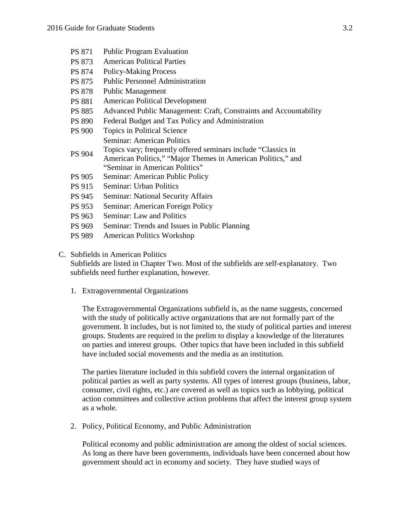- PS 871 Public Program Evaluation
- PS 873 American Political Parties
- PS 874 Policy-Making Process
- PS 875 Public Personnel Administration
- PS 878 Public Management
- PS 881 American Political Development
- PS 885 Advanced Public Management: Craft, Constraints and Accountability
- PS 890 Federal Budget and Tax Policy and Administration
- PS 900 Topics in Political Science PS 904 Seminar: American Politics Topics vary; frequently offered seminars include "Classics in
- American Politics," "Major Themes in American Politics," and "Seminar in American Politics"
- PS 905 Seminar: American Public Policy
- PS 915 Seminar: Urban Politics
- PS 945 Seminar: National Security Affairs
- PS 953 Seminar: American Foreign Policy
- PS 963 Seminar: Law and Politics
- PS 969 Seminar: Trends and Issues in Public Planning
- PS 989 American Politics Workshop

#### C. Subfields in American Politics

Subfields are listed in Chapter Two. Most of the subfields are self-explanatory. Two subfields need further explanation, however.

1. Extragovernmental Organizations

The Extragovernmental Organizations subfield is, as the name suggests, concerned with the study of politically active organizations that are not formally part of the government. It includes, but is not limited to, the study of political parties and interest groups. Students are required in the prelim to display a knowledge of the literatures on parties and interest groups. Other topics that have been included in this subfield have included social movements and the media as an institution.

The parties literature included in this subfield covers the internal organization of political parties as well as party systems. All types of interest groups (business, labor, consumer, civil rights, etc.) are covered as well as topics such as lobbying, political action committees and collective action problems that affect the interest group system as a whole.

2. Policy, Political Economy, and Public Administration

Political economy and public administration are among the oldest of social sciences. As long as there have been governments, individuals have been concerned about how government should act in economy and society. They have studied ways of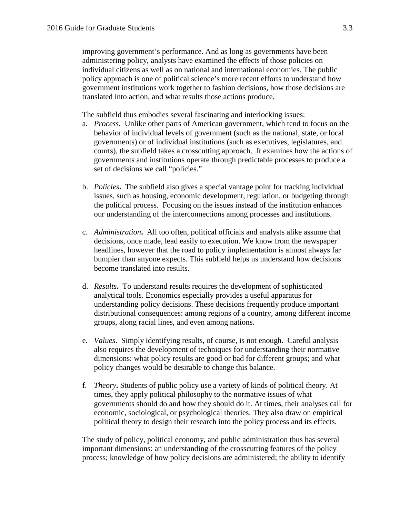improving government's performance. And as long as governments have been administering policy, analysts have examined the effects of those policies on individual citizens as well as on national and international economies. The public policy approach is one of political science's more recent efforts to understand how government institutions work together to fashion decisions, how those decisions are translated into action, and what results those actions produce.

The subfield thus embodies several fascinating and interlocking issues:

- a. *Process.* Unlike other parts of American government, which tend to focus on the behavior of individual levels of government (such as the national, state, or local governments) or of individual institutions (such as executives, legislatures, and courts), the subfield takes a crosscutting approach. It examines how the actions of governments and institutions operate through predictable processes to produce a set of decisions we call "policies."
- b. *Policies***.** The subfield also gives a special vantage point for tracking individual issues, such as housing, economic development, regulation, or budgeting through the political process. Focusing on the issues instead of the institution enhances our understanding of the interconnections among processes and institutions.
- c. *Administration***.** All too often, political officials and analysts alike assume that decisions, once made, lead easily to execution. We know from the newspaper headlines, however that the road to policy implementation is almost always far bumpier than anyone expects. This subfield helps us understand how decisions become translated into results.
- d. *Results***.** To understand results requires the development of sophisticated analytical tools. Economics especially provides a useful apparatus for understanding policy decisions. These decisions frequently produce important distributional consequences: among regions of a country, among different income groups, along racial lines, and even among nations.
- e. *Values*. Simply identifying results, of course, is not enough. Careful analysis also requires the development of techniques for understanding their normative dimensions: what policy results are good or bad for different groups; and what policy changes would be desirable to change this balance.
- f. *Theory***.** Students of public policy use a variety of kinds of political theory. At times, they apply political philosophy to the normative issues of what governments should do and how they should do it. At times, their analyses call for economic, sociological, or psychological theories. They also draw on empirical political theory to design their research into the policy process and its effects.

The study of policy, political economy, and public administration thus has several important dimensions: an understanding of the crosscutting features of the policy process; knowledge of how policy decisions are administered; the ability to identify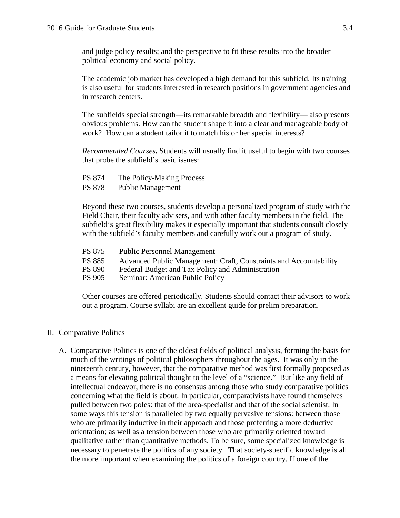and judge policy results; and the perspective to fit these results into the broader political economy and social policy.

The academic job market has developed a high demand for this subfield. Its training is also useful for students interested in research positions in government agencies and in research centers.

The subfields special strength—its remarkable breadth and flexibility— also presents obvious problems. How can the student shape it into a clear and manageable body of work? How can a student tailor it to match his or her special interests?

*Recommended Courses***.** Students will usually find it useful to begin with two courses that probe the subfield's basic issues:

- PS 874 The Policy-Making Process
- PS 878 Public Management

Beyond these two courses, students develop a personalized program of study with the Field Chair, their faculty advisers, and with other faculty members in the field. The subfield's great flexibility makes it especially important that students consult closely with the subfield's faculty members and carefully work out a program of study.

- PS 875 Public Personnel Management
- PS 885 Advanced Public Management: Craft, Constraints and Accountability<br>PS 890 Federal Budget and Tax Policy and Administration
- PS 890 Federal Budget and Tax Policy and Administration<br>PS 905 Seminar: American Public Policy
- Seminar: American Public Policy

Other courses are offered periodically. Students should contact their advisors to work out a program. Course syllabi are an excellent guide for prelim preparation.

#### II. Comparative Politics

A. Comparative Politics is one of the oldest fields of political analysis, forming the basis for much of the writings of political philosophers throughout the ages. It was only in the nineteenth century, however, that the comparative method was first formally proposed as a means for elevating political thought to the level of a "science." But like any field of intellectual endeavor, there is no consensus among those who study comparative politics concerning what the field is about. In particular, comparativists have found themselves pulled between two poles: that of the area-specialist and that of the social scientist. In some ways this tension is paralleled by two equally pervasive tensions: between those who are primarily inductive in their approach and those preferring a more deductive orientation; as well as a tension between those who are primarily oriented toward qualitative rather than quantitative methods. To be sure, some specialized knowledge is necessary to penetrate the politics of any society. That society-specific knowledge is all the more important when examining the politics of a foreign country. If one of the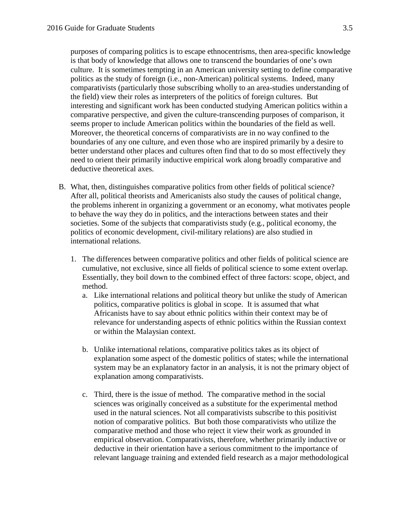purposes of comparing politics is to escape ethnocentrisms, then area-specific knowledge is that body of knowledge that allows one to transcend the boundaries of one's own culture. It is sometimes tempting in an American university setting to define comparative politics as the study of foreign (i.e., non-American) political systems. Indeed, many comparativists (particularly those subscribing wholly to an area-studies understanding of the field) view their roles as interpreters of the politics of foreign cultures. But interesting and significant work has been conducted studying American politics within a comparative perspective, and given the culture-transcending purposes of comparison, it seems proper to include American politics within the boundaries of the field as well. Moreover, the theoretical concerns of comparativists are in no way confined to the boundaries of any one culture, and even those who are inspired primarily by a desire to better understand other places and cultures often find that to do so most effectively they need to orient their primarily inductive empirical work along broadly comparative and deductive theoretical axes.

- B. What, then, distinguishes comparative politics from other fields of political science? After all, political theorists and Americanists also study the causes of political change, the problems inherent in organizing a government or an economy, what motivates people to behave the way they do in politics, and the interactions between states and their societies. Some of the subjects that comparativists study (e.g., political economy, the politics of economic development, civil-military relations) are also studied in international relations.
	- 1. The differences between comparative politics and other fields of political science are cumulative, not exclusive, since all fields of political science to some extent overlap. Essentially, they boil down to the combined effect of three factors: scope, object, and method.
		- a. Like international relations and political theory but unlike the study of American politics, comparative politics is global in scope. It is assumed that what Africanists have to say about ethnic politics within their context may be of relevance for understanding aspects of ethnic politics within the Russian context or within the Malaysian context.
		- b. Unlike international relations, comparative politics takes as its object of explanation some aspect of the domestic politics of states; while the international system may be an explanatory factor in an analysis, it is not the primary object of explanation among comparativists.
		- c. Third, there is the issue of method. The comparative method in the social sciences was originally conceived as a substitute for the experimental method used in the natural sciences. Not all comparativists subscribe to this positivist notion of comparative politics. But both those comparativists who utilize the comparative method and those who reject it view their work as grounded in empirical observation. Comparativists, therefore, whether primarily inductive or deductive in their orientation have a serious commitment to the importance of relevant language training and extended field research as a major methodological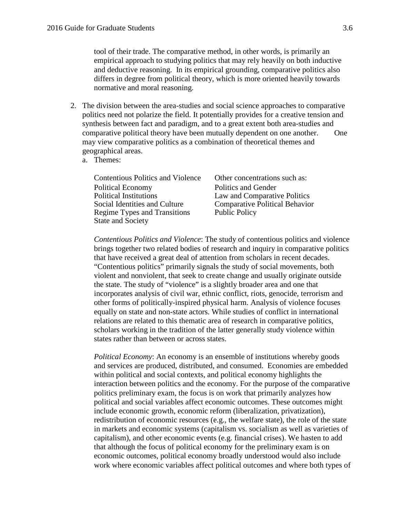tool of their trade. The comparative method, in other words, is primarily an empirical approach to studying politics that may rely heavily on both inductive and deductive reasoning. In its empirical grounding, comparative politics also differs in degree from political theory, which is more oriented heavily towards normative and moral reasoning.

- 2. The division between the area-studies and social science approaches to comparative politics need not polarize the field. It potentially provides for a creative tension and synthesis between fact and paradigm, and to a great extent both area-studies and comparative political theory have been mutually dependent on one another. One may view comparative politics as a combination of theoretical themes and geographical areas.
	- a. Themes:

| <b>Contentious Politics and Violence</b> | Other concentrations such as:         |
|------------------------------------------|---------------------------------------|
| <b>Political Economy</b>                 | Politics and Gender                   |
| <b>Political Institutions</b>            | Law and Comparative Politics          |
| Social Identities and Culture            | <b>Comparative Political Behavior</b> |
| Regime Types and Transitions             | <b>Public Policy</b>                  |
| <b>State and Society</b>                 |                                       |

*Contentious Politics and Violence*: The study of contentious politics and violence brings together two related bodies of research and inquiry in comparative politics that have received a great deal of attention from scholars in recent decades. "Contentious politics" primarily signals the study of social movements, both violent and nonviolent, that seek to create change and usually originate outside the state. The study of "violence" is a slightly broader area and one that incorporates analysis of civil war, ethnic conflict, riots, genocide, terrorism and other forms of politically-inspired physical harm. Analysis of violence focuses equally on state and non-state actors. While studies of conflict in international relations are related to this thematic area of research in comparative politics, scholars working in the tradition of the latter generally study violence within states rather than between or across states.

*Political Economy*: An economy is an ensemble of institutions whereby goods and services are produced, distributed, and consumed. Economies are embedded within political and social contexts, and political economy highlights the interaction between politics and the economy. For the purpose of the comparative politics preliminary exam, the focus is on work that primarily analyzes how political and social variables affect economic outcomes. These outcomes might include economic growth, economic reform (liberalization, privatization), redistribution of economic resources (e.g., the welfare state), the role of the state in markets and economic systems (capitalism vs. socialism as well as varieties of capitalism), and other economic events (e.g. financial crises). We hasten to add that although the focus of political economy for the preliminary exam is on economic outcomes, political economy broadly understood would also include work where economic variables affect political outcomes and where both types of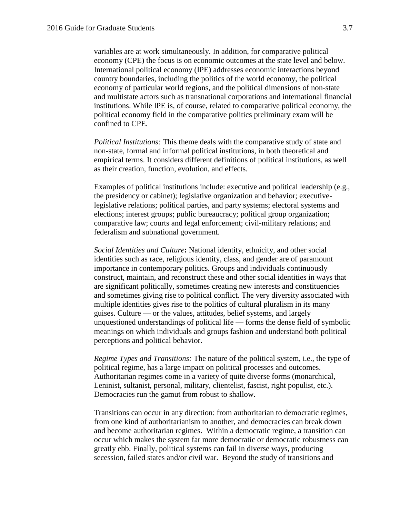variables are at work simultaneously. In addition, for comparative political economy (CPE) the focus is on economic outcomes at the state level and below. International political economy (IPE) addresses economic interactions beyond country boundaries, including the politics of the world economy, the political economy of particular world regions, and the political dimensions of non-state and multistate actors such as transnational corporations and international financial institutions. While IPE is, of course, related to comparative political economy, the political economy field in the comparative politics preliminary exam will be confined to CPE.

*Political Institutions:* This theme deals with the comparative study of state and non-state, formal and informal political institutions, in both theoretical and empirical terms. It considers different definitions of political institutions, as well as their creation, function, evolution, and effects.

Examples of political institutions include: executive and political leadership (e.g., the presidency or cabinet); legislative organization and behavior; executivelegislative relations; political parties, and party systems; electoral systems and elections; interest groups; public bureaucracy; political group organization; comparative law; courts and legal enforcement; civil-military relations; and federalism and subnational government.

*Social Identities and Culture***:** National identity, ethnicity, and other social identities such as race, religious identity, class, and gender are of paramount importance in contemporary politics. Groups and individuals continuously construct, maintain, and reconstruct these and other social identities in ways that are significant politically, sometimes creating new interests and constituencies and sometimes giving rise to political conflict. The very diversity associated with multiple identities gives rise to the politics of cultural pluralism in its many guises. Culture — or the values, attitudes, belief systems, and largely unquestioned understandings of political life — forms the dense field of symbolic meanings on which individuals and groups fashion and understand both political perceptions and political behavior.

*Regime Types and Transitions:* The nature of the political system, i.e., the type of political regime, has a large impact on political processes and outcomes. Authoritarian regimes come in a variety of quite diverse forms (monarchical, Leninist, sultanist, personal, military, clientelist, fascist, right populist, etc.). Democracies run the gamut from robust to shallow.

Transitions can occur in any direction: from authoritarian to democratic regimes, from one kind of authoritarianism to another, and democracies can break down and become authoritarian regimes. Within a democratic regime, a transition can occur which makes the system far more democratic or democratic robustness can greatly ebb. Finally, political systems can fail in diverse ways, producing secession, failed states and/or civil war. Beyond the study of transitions and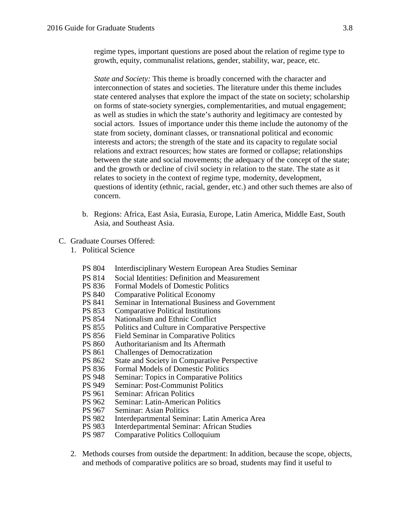regime types, important questions are posed about the relation of regime type to growth, equity, communalist relations, gender, stability, war, peace, etc.

*State and Society:* This theme is broadly concerned with the character and interconnection of states and societies. The literature under this theme includes state centered analyses that explore the impact of the state on society; scholarship on forms of state-society synergies, complementarities, and mutual engagement; as well as studies in which the state's authority and legitimacy are contested by social actors. Issues of importance under this theme include the autonomy of the state from society, dominant classes, or transnational political and economic interests and actors; the strength of the state and its capacity to regulate social relations and extract resources; how states are formed or collapse; relationships between the state and social movements; the adequacy of the concept of the state; and the growth or decline of civil society in relation to the state. The state as it relates to society in the context of regime type, modernity, development, questions of identity (ethnic, racial, gender, etc.) and other such themes are also of concern.

- b. Regions: Africa, East Asia, Eurasia, Europe, Latin America, Middle East, South Asia, and Southeast Asia.
- C. Graduate Courses Offered:
	- 1. Political Science
		- PS 804 Interdisciplinary Western European Area Studies Seminar
		- PS 814 Social Identities: Definition and Measurement<br>PS 836 Formal Models of Domestic Politics
		- PS 836 Formal Models of Domestic Politics<br>PS 840 Comparative Political Economy
		- PS 840 Comparative Political Economy<br>PS 841 Seminar in International Busines
		- PS 841 Seminar in International Business and Government<br>PS 853 Comparative Political Institutions
		- **Comparative Political Institutions**
		- PS 854 Nationalism and Ethnic Conflict<br>PS 855 Politics and Culture in Comparat
		- Politics and Culture in Comparative Perspective
		- PS 856 Field Seminar in Comparative Politics
		- PS 860 Authoritarianism and Its Aftermath<br>PS 861 Challenges of Democratization
		- PS 861 Challenges of Democratization<br>PS 862 State and Society in Comparative
		- **State and Society in Comparative Perspective**
		- PS 836 Formal Models of Domestic Politics
		- PS 948 Seminar: Topics in Comparative Politics
		- PS 949 Seminar: Post-Communist Politics<br>PS 961 Seminar: African Politics
		- PS 961 Seminar: African Politics<br>PS 962 Seminar: Latin-American
		- PS 962 Seminar: Latin-American Politics<br>PS 967 Seminar: Asian Politics
		- PS 967 Seminar: Asian Politics<br>PS 982 Interdepartmental Semin
		- Interdepartmental Seminar: Latin America Area
		- PS 983 Interdepartmental Seminar: African Studies
		- PS 987 Comparative Politics Colloquium
	- 2. Methods courses from outside the department: In addition, because the scope, objects, and methods of comparative politics are so broad, students may find it useful to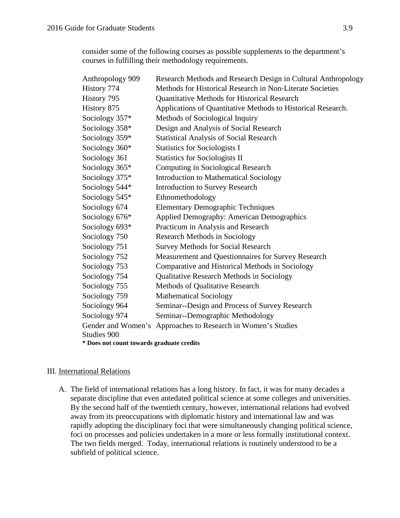consider some of the following courses as possible supplements to the department's courses in fulfilling their methodology requirements.

| Anthropology 909                          | Research Methods and Research Design in Cultural Anthropology |  |
|-------------------------------------------|---------------------------------------------------------------|--|
| History 774                               | Methods for Historical Research in Non-Literate Societies     |  |
| History 795                               | Quantitative Methods for Historical Research                  |  |
| History 875                               | Applications of Quantitative Methods to Historical Research.  |  |
| Sociology 357*                            | Methods of Sociological Inquiry                               |  |
| Sociology 358*                            | Design and Analysis of Social Research                        |  |
| Sociology 359*                            | <b>Statistical Analysis of Social Research</b>                |  |
| Sociology 360*                            | <b>Statistics for Sociologists I</b>                          |  |
| Sociology 361                             | <b>Statistics for Sociologists II</b>                         |  |
| Sociology 365*                            | Computing in Sociological Research                            |  |
| Sociology 375*                            | <b>Introduction to Mathematical Sociology</b>                 |  |
| Sociology 544*                            | <b>Introduction to Survey Research</b>                        |  |
| Sociology 545*                            | Ethnomethodology                                              |  |
| Sociology 674                             | <b>Elementary Demographic Techniques</b>                      |  |
| Sociology 676*                            | <b>Applied Demography: American Demographics</b>              |  |
| Sociology 693*                            | Practicum in Analysis and Research                            |  |
| Sociology 750                             | <b>Research Methods in Sociology</b>                          |  |
| Sociology 751                             | <b>Survey Methods for Social Research</b>                     |  |
| Sociology 752                             | Measurement and Questionnaires for Survey Research            |  |
| Sociology 753                             | Comparative and Historical Methods in Sociology               |  |
| Sociology 754                             | Qualitative Research Methods in Sociology                     |  |
| Sociology 755                             | Methods of Qualitative Research                               |  |
| Sociology 759                             | <b>Mathematical Sociology</b>                                 |  |
| Sociology 964                             | Seminar--Design and Process of Survey Research                |  |
| Sociology 974                             | Seminar--Demographic Methodology                              |  |
|                                           | Gender and Women's Approaches to Research in Women's Studies  |  |
| Studies 900                               |                                                               |  |
| * Does not count towards graduate credits |                                                               |  |

#### III. International Relations

A. The field of international relations has a long history. In fact, it was for many decades a separate discipline that even antedated political science at some colleges and universities. By the second half of the twentieth century, however, international relations had evolved away from its preoccupations with diplomatic history and international law and was rapidly adopting the disciplinary foci that were simultaneously changing political science, foci on processes and policies undertaken in a more or less formally institutional context. The two fields merged. Today, international relations is routinely understood to be a subfield of political science.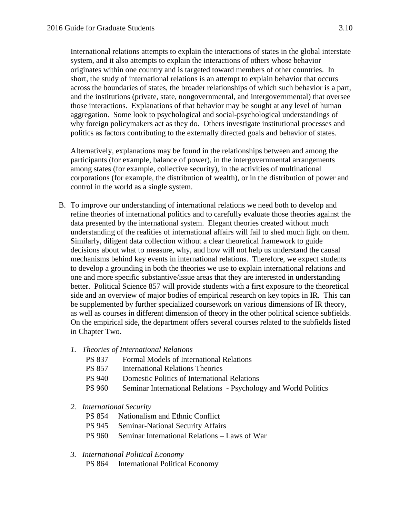International relations attempts to explain the interactions of states in the global interstate system, and it also attempts to explain the interactions of others whose behavior originates within one country and is targeted toward members of other countries. In short, the study of international relations is an attempt to explain behavior that occurs across the boundaries of states, the broader relationships of which such behavior is a part, and the institutions (private, state, nongovernmental, and intergovernmental) that oversee those interactions. Explanations of that behavior may be sought at any level of human aggregation. Some look to psychological and social-psychological understandings of why foreign policymakers act as they do. Others investigate institutional processes and politics as factors contributing to the externally directed goals and behavior of states.

Alternatively, explanations may be found in the relationships between and among the participants (for example, balance of power), in the intergovernmental arrangements among states (for example, collective security), in the activities of multinational corporations (for example, the distribution of wealth), or in the distribution of power and control in the world as a single system.

- B. To improve our understanding of international relations we need both to develop and refine theories of international politics and to carefully evaluate those theories against the data presented by the international system. Elegant theories created without much understanding of the realities of international affairs will fail to shed much light on them. Similarly, diligent data collection without a clear theoretical framework to guide decisions about what to measure, why, and how will not help us understand the causal mechanisms behind key events in international relations. Therefore, we expect students to develop a grounding in both the theories we use to explain international relations and one and more specific substantive/issue areas that they are interested in understanding better. Political Science 857 will provide students with a first exposure to the theoretical side and an overview of major bodies of empirical research on key topics in IR. This can be supplemented by further specialized coursework on various dimensions of IR theory, as well as courses in different dimension of theory in the other political science subfields. On the empirical side, the department offers several courses related to the subfields listed in Chapter Two.
	- *1. Theories of International Relations*
		- PS 837 Formal Models of International Relations
		- PS 857 International Relations Theories
		- PS 940 Domestic Politics of International Relations
		- PS 960 Seminar International Relations Psychology and World Politics

#### *2. International Security*

- PS 854 Nationalism and Ethnic Conflict
- PS 945 Seminar-National Security Affairs
- PS 960 Seminar International Relations Laws of War

#### *3. International Political Economy*

PS 864 International Political Economy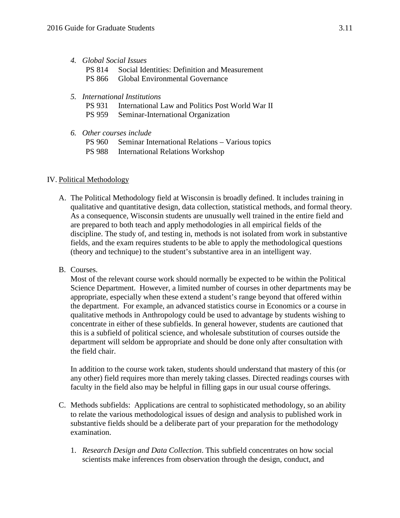- *4. Global Social Issues*
	- PS 814 Social Identities: Definition and Measurement
	- PS 866 Global Environmental Governance
- *5. International Institutions*
	- PS 931 International Law and Politics Post World War II
	- PS 959 Seminar-International Organization
- *6. Other courses include* 
	- PS 960 Seminar International Relations Various topics
	- PS 988 International Relations Workshop

## IV. Political Methodology

- A. The Political Methodology field at Wisconsin is broadly defined. It includes training in qualitative and quantitative design, data collection, statistical methods, and formal theory. As a consequence, Wisconsin students are unusually well trained in the entire field and are prepared to both teach and apply methodologies in all empirical fields of the discipline. The study of, and testing in, methods is not isolated from work in substantive fields, and the exam requires students to be able to apply the methodological questions (theory and technique) to the student's substantive area in an intelligent way.
- B. Courses.

Most of the relevant course work should normally be expected to be within the Political Science Department. However, a limited number of courses in other departments may be appropriate, especially when these extend a student's range beyond that offered within the department. For example, an advanced statistics course in Economics or a course in qualitative methods in Anthropology could be used to advantage by students wishing to concentrate in either of these subfields. In general however, students are cautioned that this is a subfield of political science, and wholesale substitution of courses outside the department will seldom be appropriate and should be done only after consultation with the field chair.

In addition to the course work taken, students should understand that mastery of this (or any other) field requires more than merely taking classes. Directed readings courses with faculty in the field also may be helpful in filling gaps in our usual course offerings.

- C. Methods subfields: Applications are central to sophisticated methodology, so an ability to relate the various methodological issues of design and analysis to published work in substantive fields should be a deliberate part of your preparation for the methodology examination.
	- 1. *Research Design and Data Collection*. This subfield concentrates on how social scientists make inferences from observation through the design, conduct, and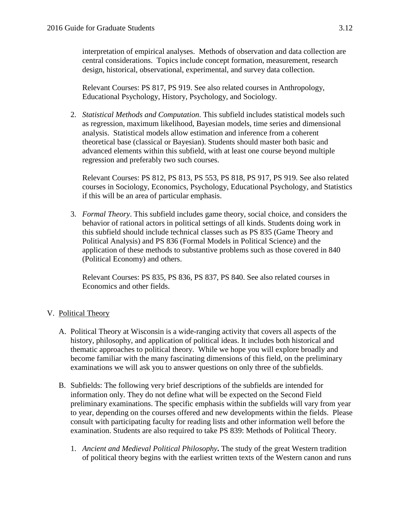interpretation of empirical analyses. Methods of observation and data collection are central considerations. Topics include concept formation, measurement, research design, historical, observational, experimental, and survey data collection.

Relevant Courses: PS 817, PS 919. See also related courses in Anthropology, Educational Psychology, History, Psychology, and Sociology.

2. *Statistical Methods and Computation*. This subfield includes statistical models such as regression, maximum likelihood, Bayesian models, time series and dimensional analysis. Statistical models allow estimation and inference from a coherent theoretical base (classical or Bayesian). Students should master both basic and advanced elements within this subfield, with at least one course beyond multiple regression and preferably two such courses.

Relevant Courses: PS 812, PS 813, PS 553, PS 818, PS 917, PS 919. See also related courses in Sociology, Economics, Psychology, Educational Psychology, and Statistics if this will be an area of particular emphasis.

3. *Formal Theory*. This subfield includes game theory, social choice, and considers the behavior of rational actors in political settings of all kinds. Students doing work in this subfield should include technical classes such as PS 835 (Game Theory and Political Analysis) and PS 836 (Formal Models in Political Science) and the application of these methods to substantive problems such as those covered in 840 (Political Economy) and others.

Relevant Courses: PS 835, PS 836, PS 837, PS 840. See also related courses in Economics and other fields.

# V. Political Theory

- A. Political Theory at Wisconsin is a wide-ranging activity that covers all aspects of the history, philosophy, and application of political ideas. It includes both historical and thematic approaches to political theory. While we hope you will explore broadly and become familiar with the many fascinating dimensions of this field, on the preliminary examinations we will ask you to answer questions on only three of the subfields.
- B. Subfields: The following very brief descriptions of the subfields are intended for information only. They do not define what will be expected on the Second Field preliminary examinations. The specific emphasis within the subfields will vary from year to year, depending on the courses offered and new developments within the fields. Please consult with participating faculty for reading lists and other information well before the examination. Students are also required to take PS 839: Methods of Political Theory.
	- 1. *Ancient and Medieval Political Philosophy***.** The study of the great Western tradition of political theory begins with the earliest written texts of the Western canon and runs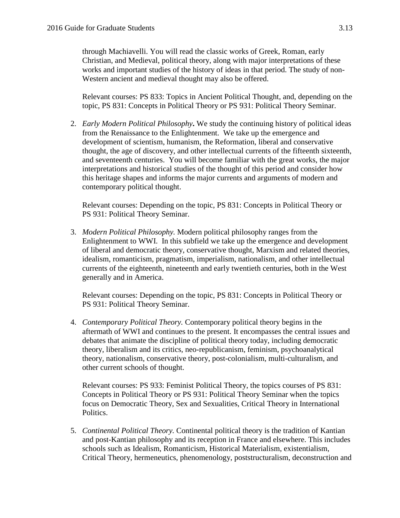through Machiavelli. You will read the classic works of Greek, Roman, early Christian, and Medieval, political theory, along with major interpretations of these works and important studies of the history of ideas in that period. The study of non-Western ancient and medieval thought may also be offered.

Relevant courses: PS 833: Topics in Ancient Political Thought, and, depending on the topic, PS 831: Concepts in Political Theory or PS 931: Political Theory Seminar.

2. *Early Modern Political Philosophy***.** We study the continuing history of political ideas from the Renaissance to the Enlightenment. We take up the emergence and development of scientism, humanism, the Reformation, liberal and conservative thought, the age of discovery, and other intellectual currents of the fifteenth sixteenth, and seventeenth centuries. You will become familiar with the great works, the major interpretations and historical studies of the thought of this period and consider how this heritage shapes and informs the major currents and arguments of modern and contemporary political thought.

Relevant courses: Depending on the topic, PS 831: Concepts in Political Theory or PS 931: Political Theory Seminar.

3. *Modern Political Philosophy.* Modern political philosophy ranges from the Enlightenment to WWI. In this subfield we take up the emergence and development of liberal and democratic theory, conservative thought, Marxism and related theories, idealism, romanticism, pragmatism, imperialism, nationalism, and other intellectual currents of the eighteenth, nineteenth and early twentieth centuries, both in the West generally and in America.

Relevant courses: Depending on the topic, PS 831: Concepts in Political Theory or PS 931: Political Theory Seminar.

4. *Contemporary Political Theory.* Contemporary political theory begins in the aftermath of WWI and continues to the present. It encompasses the central issues and debates that animate the discipline of political theory today, including democratic theory, liberalism and its critics, neo-republicanism, feminism, psychoanalytical theory, nationalism, conservative theory, post-colonialism, multi-culturalism, and other current schools of thought.

Relevant courses: PS 933: Feminist Political Theory, the topics courses of PS 831: Concepts in Political Theory or PS 931: Political Theory Seminar when the topics focus on Democratic Theory, Sex and Sexualities, Critical Theory in International Politics.

5. *Continental Political Theory.* Continental political theory is the tradition of Kantian and post-Kantian philosophy and its reception in France and elsewhere. This includes schools such as Idealism, Romanticism, Historical Materialism, existentialism, Critical Theory, hermeneutics, phenomenology, poststructuralism, deconstruction and